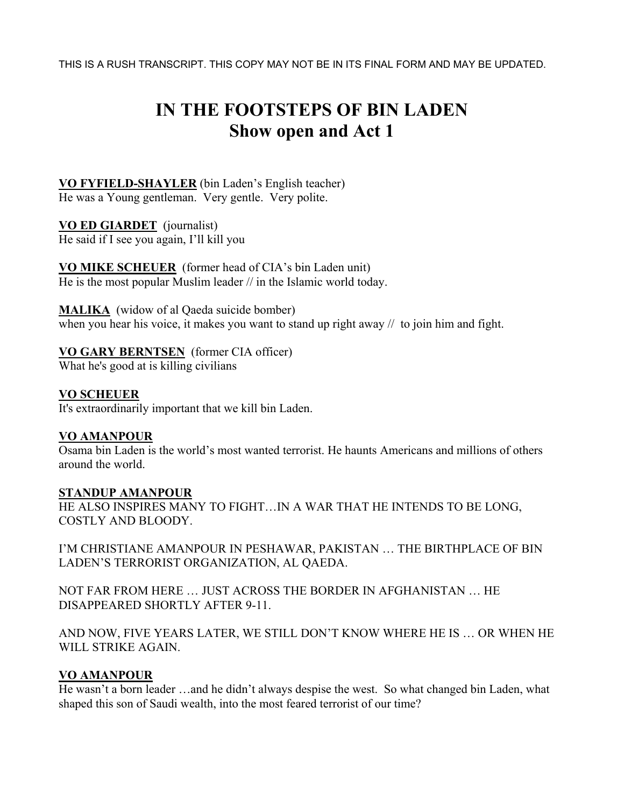THIS IS A RUSH TRANSCRIPT. THIS COPY MAY NOT BE IN ITS FINAL FORM AND MAY BE UPDATED.

# **IN THE FOOTSTEPS OF BIN LADEN Show open and Act 1**

## **VO FYFIELD-SHAYLER** (bin Laden's English teacher) He was a Young gentleman. Very gentle. Very polite.

**VO ED GIARDET** (journalist) He said if I see you again, I'll kill you

**VO MIKE SCHEUER** (former head of CIA's bin Laden unit) He is the most popular Muslim leader // in the Islamic world today.

**MALIKA** (widow of al Qaeda suicide bomber) when you hear his voice, it makes you want to stand up right away // to join him and fight.

# **VO GARY BERNTSEN** (former CIA officer)

What he's good at is killing civilians

**VO SCHEUER**  It's extraordinarily important that we kill bin Laden.

# **VO AMANPOUR**

Osama bin Laden is the world's most wanted terrorist. He haunts Americans and millions of others around the world.

# **STANDUP AMANPOUR**

HE ALSO INSPIRES MANY TO FIGHT…IN A WAR THAT HE INTENDS TO BE LONG, COSTLY AND BLOODY.

I'M CHRISTIANE AMANPOUR IN PESHAWAR, PAKISTAN … THE BIRTHPLACE OF BIN LADEN'S TERRORIST ORGANIZATION, AL QAEDA.

NOT FAR FROM HERE … JUST ACROSS THE BORDER IN AFGHANISTAN … HE DISAPPEARED SHORTLY AFTER 9-11.

AND NOW, FIVE YEARS LATER, WE STILL DON'T KNOW WHERE HE IS … OR WHEN HE WILL STRIKE AGAIN.

# **VO AMANPOUR**

He wasn't a born leader …and he didn't always despise the west. So what changed bin Laden, what shaped this son of Saudi wealth, into the most feared terrorist of our time?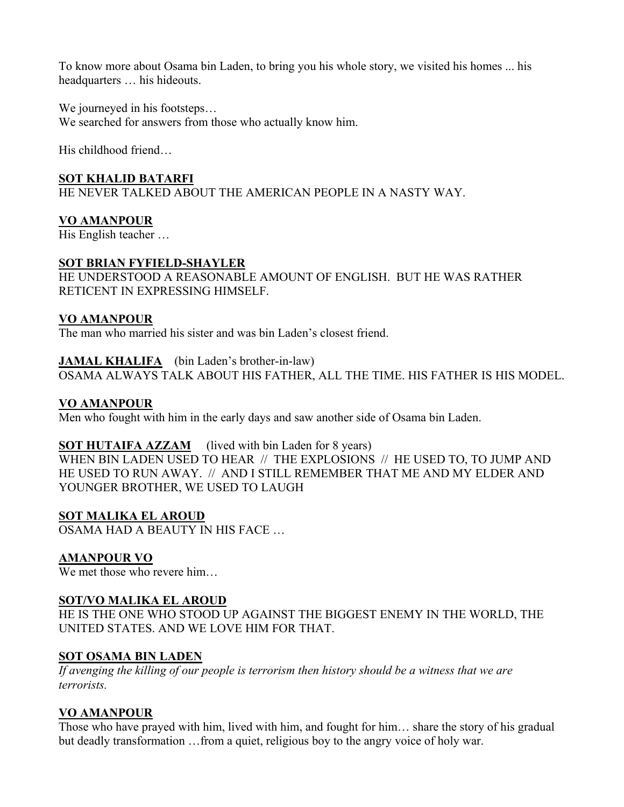To know more about Osama bin Laden, to bring you his whole story, we visited his homes ... his headquarters … his hideouts.

We journeyed in his footsteps... We searched for answers from those who actually know him.

His childhood friend…

## **SOT KHALID BATARFI**

HE NEVER TALKED ABOUT THE AMERICAN PEOPLE IN A NASTY WAY.

## **VO AMANPOUR**

His English teacher …

#### **SOT BRIAN FYFIELD-SHAYLER**

HE UNDERSTOOD A REASONABLE AMOUNT OF ENGLISH. BUT HE WAS RATHER RETICENT IN EXPRESSING HIMSELF.

## **VO AMANPOUR**

The man who married his sister and was bin Laden's closest friend.

## **JAMAL KHALIFA** (bin Laden's brother-in-law)

OSAMA ALWAYS TALK ABOUT HIS FATHER, ALL THE TIME. HIS FATHER IS HIS MODEL.

## **VO AMANPOUR**

Men who fought with him in the early days and saw another side of Osama bin Laden.

# **SOT HUTAIFA AZZAM** (lived with bin Laden for 8 years)

WHEN BIN LADEN USED TO HEAR // THE EXPLOSIONS // HE USED TO, TO JUMP AND HE USED TO RUN AWAY. // AND I STILL REMEMBER THAT ME AND MY ELDER AND YOUNGER BROTHER, WE USED TO LAUGH

# **SOT MALIKA EL AROUD**

OSAMA HAD A BEAUTY IN HIS FACE …

# **AMANPOUR VO**

We met those who revere him...

#### **SOT/VO MALIKA EL AROUD**

HE IS THE ONE WHO STOOD UP AGAINST THE BIGGEST ENEMY IN THE WORLD, THE UNITED STATES. AND WE LOVE HIM FOR THAT.

#### **SOT OSAMA BIN LADEN**

*If avenging the killing of our people is terrorism then history should be a witness that we are terrorists.* 

# **VO AMANPOUR**

Those who have prayed with him, lived with him, and fought for him… share the story of his gradual but deadly transformation …from a quiet, religious boy to the angry voice of holy war.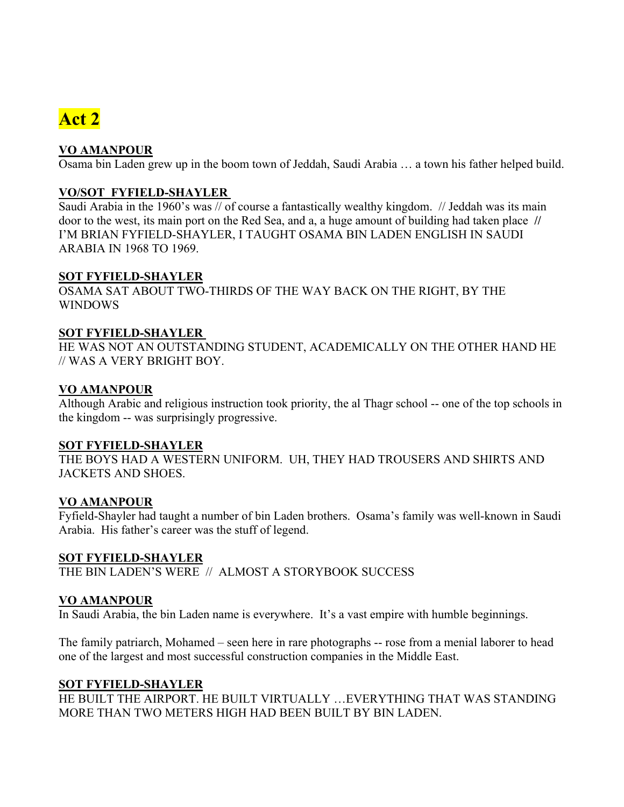# **Act 2**

# **VO AMANPOUR**

Osama bin Laden grew up in the boom town of Jeddah, Saudi Arabia … a town his father helped build.

# **VO/SOT FYFIELD-SHAYLER**

Saudi Arabia in the 1960's was // of course a fantastically wealthy kingdom. // Jeddah was its main door to the west, its main port on the Red Sea, and a, a huge amount of building had taken place **//**  I'M BRIAN FYFIELD-SHAYLER, I TAUGHT OSAMA BIN LADEN ENGLISH IN SAUDI ARABIA IN 1968 TO 1969.

# **SOT FYFIELD-SHAYLER**

OSAMA SAT ABOUT TWO-THIRDS OF THE WAY BACK ON THE RIGHT, BY THE WINDOWS

# **SOT FYFIELD-SHAYLER**

HE WAS NOT AN OUTSTANDING STUDENT, ACADEMICALLY ON THE OTHER HAND HE // WAS A VERY BRIGHT BOY.

# **VO AMANPOUR**

Although Arabic and religious instruction took priority, the al Thagr school -- one of the top schools in the kingdom -- was surprisingly progressive.

# **SOT FYFIELD-SHAYLER**

THE BOYS HAD A WESTERN UNIFORM. UH, THEY HAD TROUSERS AND SHIRTS AND JACKETS AND SHOES.

# **VO AMANPOUR**

Fyfield-Shayler had taught a number of bin Laden brothers. Osama's family was well-known in Saudi Arabia. His father's career was the stuff of legend.

# **SOT FYFIELD-SHAYLER**

THE BIN LADEN'S WERE // ALMOST A STORYBOOK SUCCESS

# **VO AMANPOUR**

In Saudi Arabia, the bin Laden name is everywhere. It's a vast empire with humble beginnings.

The family patriarch, Mohamed – seen here in rare photographs -- rose from a menial laborer to head one of the largest and most successful construction companies in the Middle East.

# **SOT FYFIELD-SHAYLER**

HE BUILT THE AIRPORT. HE BUILT VIRTUALLY …EVERYTHING THAT WAS STANDING MORE THAN TWO METERS HIGH HAD BEEN BUILT BY BIN LADEN.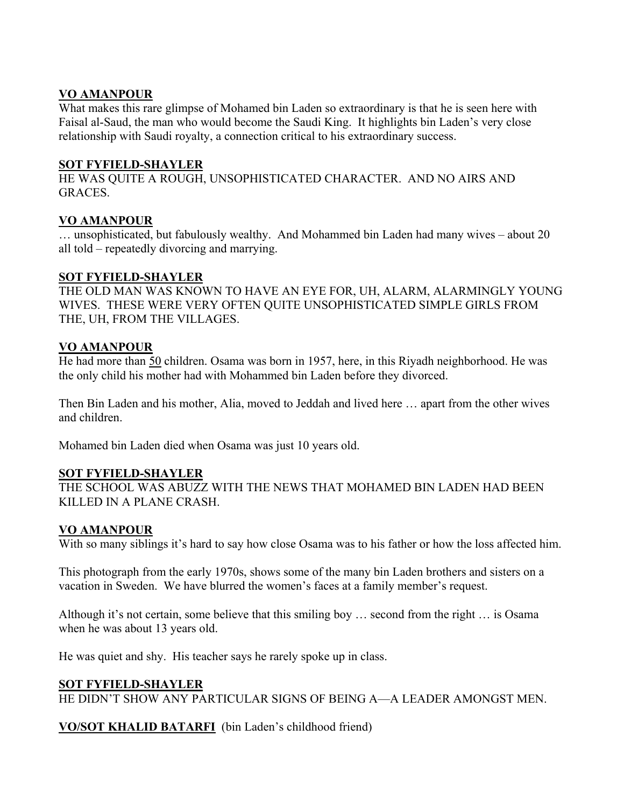# **VO AMANPOUR**

What makes this rare glimpse of Mohamed bin Laden so extraordinary is that he is seen here with Faisal al-Saud, the man who would become the Saudi King. It highlights bin Laden's very close relationship with Saudi royalty, a connection critical to his extraordinary success.

# **SOT FYFIELD-SHAYLER**

HE WAS QUITE A ROUGH, UNSOPHISTICATED CHARACTER. AND NO AIRS AND GRACES.

# **VO AMANPOUR**

… unsophisticated, but fabulously wealthy. And Mohammed bin Laden had many wives – about 20 all told – repeatedly divorcing and marrying.

# **SOT FYFIELD-SHAYLER**

THE OLD MAN WAS KNOWN TO HAVE AN EYE FOR, UH, ALARM, ALARMINGLY YOUNG WIVES. THESE WERE VERY OFTEN QUITE UNSOPHISTICATED SIMPLE GIRLS FROM THE, UH, FROM THE VILLAGES.

# **VO AMANPOUR**

He had more than 50 children. Osama was born in 1957, here, in this Riyadh neighborhood. He was the only child his mother had with Mohammed bin Laden before they divorced.

Then Bin Laden and his mother, Alia, moved to Jeddah and lived here … apart from the other wives and children.

Mohamed bin Laden died when Osama was just 10 years old.

# **SOT FYFIELD-SHAYLER**

THE SCHOOL WAS ABUZZ WITH THE NEWS THAT MOHAMED BIN LADEN HAD BEEN KILLED IN A PLANE CRASH.

# **VO AMANPOUR**

With so many siblings it's hard to say how close Osama was to his father or how the loss affected him.

This photograph from the early 1970s, shows some of the many bin Laden brothers and sisters on a vacation in Sweden. We have blurred the women's faces at a family member's request.

Although it's not certain, some believe that this smiling boy … second from the right … is Osama when he was about 13 years old.

He was quiet and shy. His teacher says he rarely spoke up in class.

# **SOT FYFIELD-SHAYLER**

HE DIDN'T SHOW ANY PARTICULAR SIGNS OF BEING A—A LEADER AMONGST MEN.

**VO/SOT KHALID BATARFI** (bin Laden's childhood friend)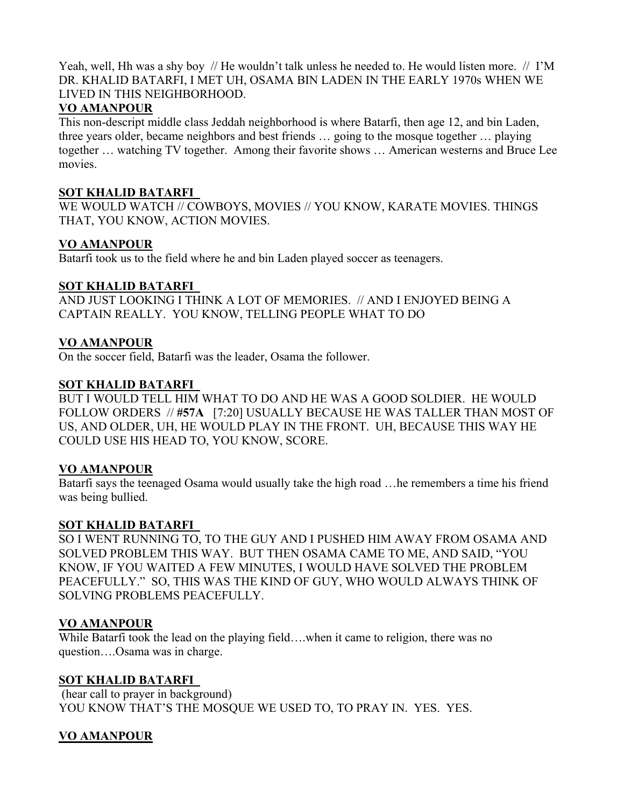Yeah, well, Hh was a shy boy // He wouldn't talk unless he needed to. He would listen more. // I'M DR. KHALID BATARFI, I MET UH, OSAMA BIN LADEN IN THE EARLY 1970s WHEN WE LIVED IN THIS NEIGHBORHOOD.

## **VO AMANPOUR**

This non-descript middle class Jeddah neighborhood is where Batarfi, then age 12, and bin Laden, three years older, became neighbors and best friends … going to the mosque together … playing together … watching TV together. Among their favorite shows … American westerns and Bruce Lee movies.

## **SOT KHALID BATARFI**

WE WOULD WATCH // COWBOYS, MOVIES // YOU KNOW, KARATE MOVIES. THINGS THAT, YOU KNOW, ACTION MOVIES.

## **VO AMANPOUR**

Batarfi took us to the field where he and bin Laden played soccer as teenagers.

#### **SOT KHALID BATARFI**

AND JUST LOOKING I THINK A LOT OF MEMORIES. // AND I ENJOYED BEING A CAPTAIN REALLY. YOU KNOW, TELLING PEOPLE WHAT TO DO

## **VO AMANPOUR**

On the soccer field, Batarfi was the leader, Osama the follower.

#### **SOT KHALID BATARFI**

BUT I WOULD TELL HIM WHAT TO DO AND HE WAS A GOOD SOLDIER. HE WOULD FOLLOW ORDERS // **#57A** [7:20] USUALLY BECAUSE HE WAS TALLER THAN MOST OF US, AND OLDER, UH, HE WOULD PLAY IN THE FRONT. UH, BECAUSE THIS WAY HE COULD USE HIS HEAD TO, YOU KNOW, SCORE.

#### **VO AMANPOUR**

Batarfi says the teenaged Osama would usually take the high road …he remembers a time his friend was being bullied.

#### **SOT KHALID BATARFI**

SO I WENT RUNNING TO, TO THE GUY AND I PUSHED HIM AWAY FROM OSAMA AND SOLVED PROBLEM THIS WAY. BUT THEN OSAMA CAME TO ME, AND SAID, "YOU KNOW, IF YOU WAITED A FEW MINUTES, I WOULD HAVE SOLVED THE PROBLEM PEACEFULLY." SO, THIS WAS THE KIND OF GUY, WHO WOULD ALWAYS THINK OF SOLVING PROBLEMS PEACEFULLY.

# **VO AMANPOUR**

While Batarfi took the lead on the playing field... when it came to religion, there was no question….Osama was in charge.

#### **SOT KHALID BATARFI**

 (hear call to prayer in background) YOU KNOW THAT'S THE MOSQUE WE USED TO, TO PRAY IN. YES. YES.

# **VO AMANPOUR**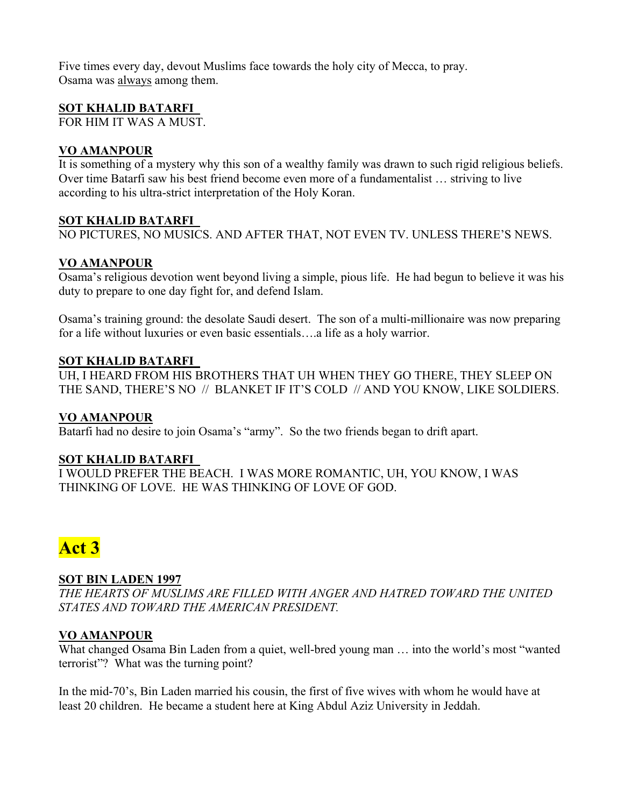Five times every day, devout Muslims face towards the holy city of Mecca, to pray. Osama was always among them.

## **SOT KHALID BATARFI**

FOR HIM IT WAS A MUST.

## **VO AMANPOUR**

It is something of a mystery why this son of a wealthy family was drawn to such rigid religious beliefs. Over time Batarfi saw his best friend become even more of a fundamentalist … striving to live according to his ultra-strict interpretation of the Holy Koran.

#### **SOT KHALID BATARFI**

NO PICTURES, NO MUSICS. AND AFTER THAT, NOT EVEN TV. UNLESS THERE'S NEWS.

# **VO AMANPOUR**

Osama's religious devotion went beyond living a simple, pious life. He had begun to believe it was his duty to prepare to one day fight for, and defend Islam.

Osama's training ground: the desolate Saudi desert. The son of a multi-millionaire was now preparing for a life without luxuries or even basic essentials….a life as a holy warrior.

#### **SOT KHALID BATARFI**

UH, I HEARD FROM HIS BROTHERS THAT UH WHEN THEY GO THERE, THEY SLEEP ON THE SAND, THERE'S NO // BLANKET IF IT'S COLD // AND YOU KNOW, LIKE SOLDIERS.

#### **VO AMANPOUR**

Batarfi had no desire to join Osama's "army". So the two friends began to drift apart.

#### **SOT KHALID BATARFI**

I WOULD PREFER THE BEACH. I WAS MORE ROMANTIC, UH, YOU KNOW, I WAS THINKING OF LOVE. HE WAS THINKING OF LOVE OF GOD.

# **Act 3**

# **SOT BIN LADEN 1997**

*THE HEARTS OF MUSLIMS ARE FILLED WITH ANGER AND HATRED TOWARD THE UNITED STATES AND TOWARD THE AMERICAN PRESIDENT.* 

# **VO AMANPOUR**

What changed Osama Bin Laden from a quiet, well-bred young man … into the world's most "wanted terrorist"? What was the turning point?

In the mid-70's, Bin Laden married his cousin, the first of five wives with whom he would have at least 20 children. He became a student here at King Abdul Aziz University in Jeddah.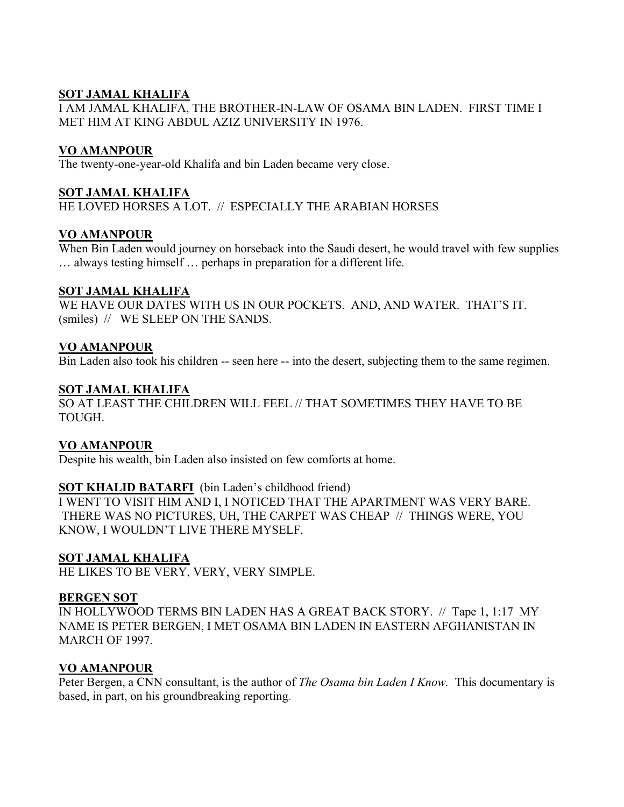# **SOT JAMAL KHALIFA**

I AM JAMAL KHALIFA, THE BROTHER-IN-LAW OF OSAMA BIN LADEN. FIRST TIME I MET HIM AT KING ABDUL AZIZ UNIVERSITY IN 1976.

# **VO AMANPOUR**

The twenty-one-year-old Khalifa and bin Laden became very close.

# **SOT JAMAL KHALIFA**

HE LOVED HORSES A LOT. // ESPECIALLY THE ARABIAN HORSES

# **VO AMANPOUR**

When Bin Laden would journey on horseback into the Saudi desert, he would travel with few supplies … always testing himself … perhaps in preparation for a different life.

## **SOT JAMAL KHALIFA**

WE HAVE OUR DATES WITH US IN OUR POCKETS. AND, AND WATER. THAT'S IT. (smiles) // WE SLEEP ON THE SANDS.

# **VO AMANPOUR**

Bin Laden also took his children -- seen here -- into the desert, subjecting them to the same regimen.

# **SOT JAMAL KHALIFA**

SO AT LEAST THE CHILDREN WILL FEEL // THAT SOMETIMES THEY HAVE TO BE TOUGH.

# **VO AMANPOUR**

Despite his wealth, bin Laden also insisted on few comforts at home.

# **SOT KHALID BATARFI** (bin Laden's childhood friend)

I WENT TO VISIT HIM AND I, I NOTICED THAT THE APARTMENT WAS VERY BARE. THERE WAS NO PICTURES, UH, THE CARPET WAS CHEAP // THINGS WERE, YOU KNOW, I WOULDN'T LIVE THERE MYSELF.

# **SOT JAMAL KHALIFA**

HE LIKES TO BE VERY, VERY, VERY SIMPLE.

#### **BERGEN SOT**

IN HOLLYWOOD TERMS BIN LADEN HAS A GREAT BACK STORY. // Tape 1, 1:17 MY NAME IS PETER BERGEN, I MET OSAMA BIN LADEN IN EASTERN AFGHANISTAN IN MARCH OF 1997.

# **VO AMANPOUR**

Peter Bergen, a CNN consultant, is the author of *The Osama bin Laden I Know.* This documentary is based, in part, on his groundbreaking reporting.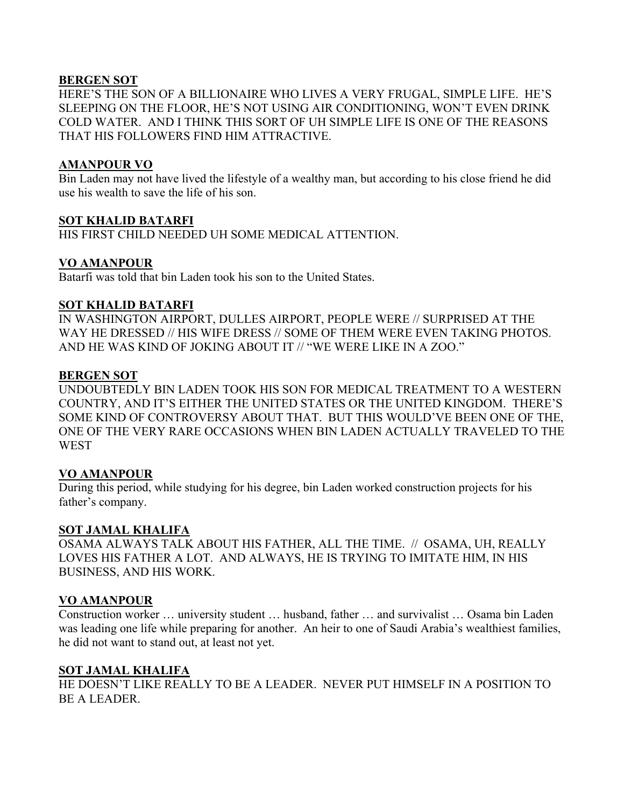## **BERGEN SOT**

HERE'S THE SON OF A BILLIONAIRE WHO LIVES A VERY FRUGAL, SIMPLE LIFE. HE'S SLEEPING ON THE FLOOR, HE'S NOT USING AIR CONDITIONING, WON'T EVEN DRINK COLD WATER. AND I THINK THIS SORT OF UH SIMPLE LIFE IS ONE OF THE REASONS THAT HIS FOLLOWERS FIND HIM ATTRACTIVE.

# **AMANPOUR VO**

Bin Laden may not have lived the lifestyle of a wealthy man, but according to his close friend he did use his wealth to save the life of his son.

#### **SOT KHALID BATARFI**

HIS FIRST CHILD NEEDED UH SOME MEDICAL ATTENTION.

#### **VO AMANPOUR**

Batarfi was told that bin Laden took his son to the United States.

#### **SOT KHALID BATARFI**

IN WASHINGTON AIRPORT, DULLES AIRPORT, PEOPLE WERE // SURPRISED AT THE WAY HE DRESSED // HIS WIFE DRESS // SOME OF THEM WERE EVEN TAKING PHOTOS. AND HE WAS KIND OF JOKING ABOUT IT // "WE WERE LIKE IN A ZOO."

#### **BERGEN SOT**

UNDOUBTEDLY BIN LADEN TOOK HIS SON FOR MEDICAL TREATMENT TO A WESTERN COUNTRY, AND IT'S EITHER THE UNITED STATES OR THE UNITED KINGDOM. THERE'S SOME KIND OF CONTROVERSY ABOUT THAT. BUT THIS WOULD'VE BEEN ONE OF THE, ONE OF THE VERY RARE OCCASIONS WHEN BIN LADEN ACTUALLY TRAVELED TO THE **WEST** 

#### **VO AMANPOUR**

During this period, while studying for his degree, bin Laden worked construction projects for his father's company.

#### **SOT JAMAL KHALIFA**

OSAMA ALWAYS TALK ABOUT HIS FATHER, ALL THE TIME. // OSAMA, UH, REALLY LOVES HIS FATHER A LOT. AND ALWAYS, HE IS TRYING TO IMITATE HIM, IN HIS BUSINESS, AND HIS WORK.

#### **VO AMANPOUR**

Construction worker … university student … husband, father … and survivalist … Osama bin Laden was leading one life while preparing for another. An heir to one of Saudi Arabia's wealthiest families, he did not want to stand out, at least not yet.

#### **SOT JAMAL KHALIFA**

HE DOESN'T LIKE REALLY TO BE A LEADER. NEVER PUT HIMSELF IN A POSITION TO BE A LEADER.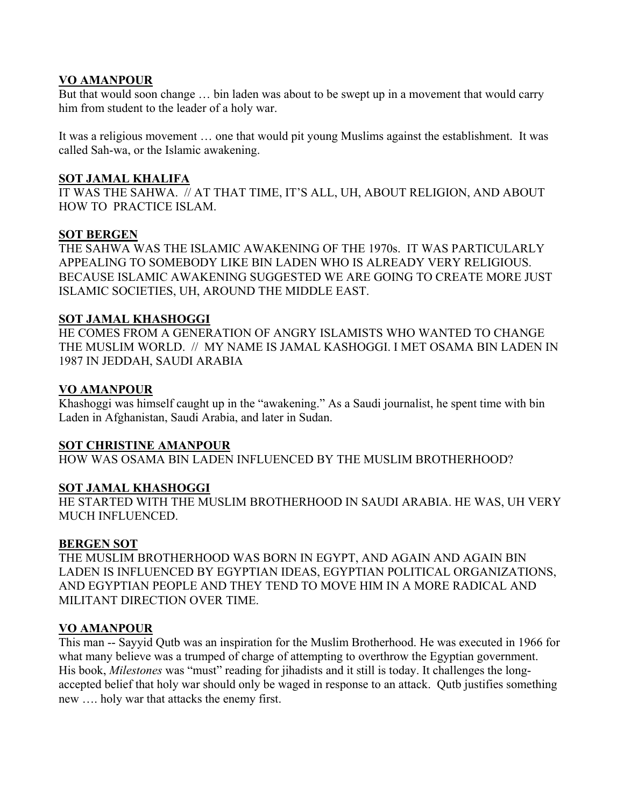# **VO AMANPOUR**

But that would soon change … bin laden was about to be swept up in a movement that would carry him from student to the leader of a holy war.

It was a religious movement … one that would pit young Muslims against the establishment. It was called Sah-wa, or the Islamic awakening.

## **SOT JAMAL KHALIFA**

IT WAS THE SAHWA. // AT THAT TIME, IT'S ALL, UH, ABOUT RELIGION, AND ABOUT HOW TO PRACTICE ISLAM.

## **SOT BERGEN**

THE SAHWA WAS THE ISLAMIC AWAKENING OF THE 1970s. IT WAS PARTICULARLY APPEALING TO SOMEBODY LIKE BIN LADEN WHO IS ALREADY VERY RELIGIOUS. BECAUSE ISLAMIC AWAKENING SUGGESTED WE ARE GOING TO CREATE MORE JUST ISLAMIC SOCIETIES, UH, AROUND THE MIDDLE EAST.

## **SOT JAMAL KHASHOGGI**

HE COMES FROM A GENERATION OF ANGRY ISLAMISTS WHO WANTED TO CHANGE THE MUSLIM WORLD. // MY NAME IS JAMAL KASHOGGI. I MET OSAMA BIN LADEN IN 1987 IN JEDDAH, SAUDI ARABIA

## **VO AMANPOUR**

Khashoggi was himself caught up in the "awakening." As a Saudi journalist, he spent time with bin Laden in Afghanistan, Saudi Arabia, and later in Sudan.

# **SOT CHRISTINE AMANPOUR**

HOW WAS OSAMA BIN LADEN INFLUENCED BY THE MUSLIM BROTHERHOOD?

# **SOT JAMAL KHASHOGGI**

HE STARTED WITH THE MUSLIM BROTHERHOOD IN SAUDI ARABIA. HE WAS, UH VERY MUCH INFLUENCED.

# **BERGEN SOT**

THE MUSLIM BROTHERHOOD WAS BORN IN EGYPT, AND AGAIN AND AGAIN BIN LADEN IS INFLUENCED BY EGYPTIAN IDEAS, EGYPTIAN POLITICAL ORGANIZATIONS, AND EGYPTIAN PEOPLE AND THEY TEND TO MOVE HIM IN A MORE RADICAL AND MILITANT DIRECTION OVER TIME.

# **VO AMANPOUR**

This man -- Sayyid Qutb was an inspiration for the Muslim Brotherhood. He was executed in 1966 for what many believe was a trumped of charge of attempting to overthrow the Egyptian government. His book, *Milestones* was "must" reading for jihadists and it still is today. It challenges the longaccepted belief that holy war should only be waged in response to an attack. Qutb justifies something new …. holy war that attacks the enemy first.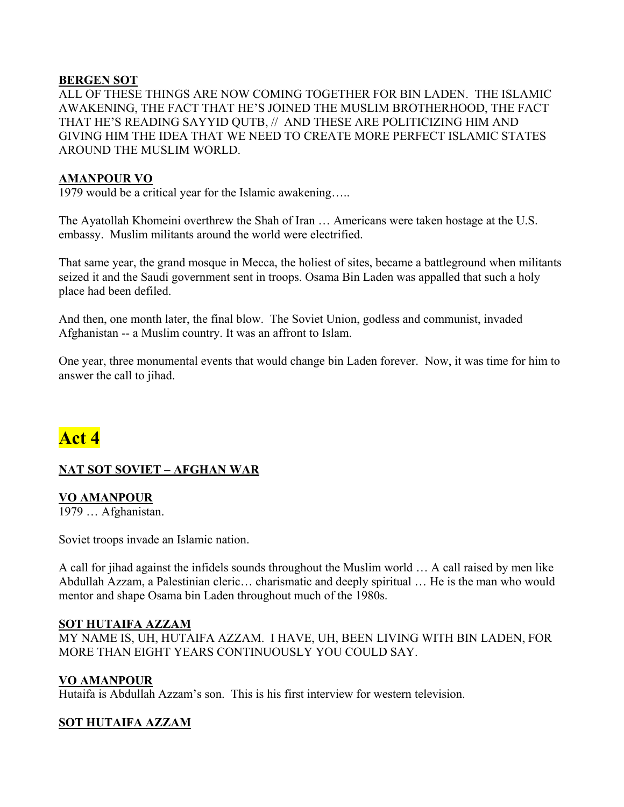# **BERGEN SOT**

ALL OF THESE THINGS ARE NOW COMING TOGETHER FOR BIN LADEN. THE ISLAMIC AWAKENING, THE FACT THAT HE'S JOINED THE MUSLIM BROTHERHOOD, THE FACT THAT HE'S READING SAYYID QUTB, // AND THESE ARE POLITICIZING HIM AND GIVING HIM THE IDEA THAT WE NEED TO CREATE MORE PERFECT ISLAMIC STATES AROUND THE MUSLIM WORLD.

## **AMANPOUR VO**

1979 would be a critical year for the Islamic awakening…..

The Ayatollah Khomeini overthrew the Shah of Iran … Americans were taken hostage at the U.S. embassy. Muslim militants around the world were electrified.

That same year, the grand mosque in Mecca, the holiest of sites, became a battleground when militants seized it and the Saudi government sent in troops. Osama Bin Laden was appalled that such a holy place had been defiled.

And then, one month later, the final blow. The Soviet Union, godless and communist, invaded Afghanistan -- a Muslim country. It was an affront to Islam.

One year, three monumental events that would change bin Laden forever. Now, it was time for him to answer the call to jihad.

# **Act 4**

# **NAT SOT SOVIET – AFGHAN WAR**

# **VO AMANPOUR**

1979 … Afghanistan.

Soviet troops invade an Islamic nation.

A call for jihad against the infidels sounds throughout the Muslim world … A call raised by men like Abdullah Azzam, a Palestinian cleric… charismatic and deeply spiritual … He is the man who would mentor and shape Osama bin Laden throughout much of the 1980s.

# **SOT HUTAIFA AZZAM**

MY NAME IS, UH, HUTAIFA AZZAM. I HAVE, UH, BEEN LIVING WITH BIN LADEN, FOR MORE THAN EIGHT YEARS CONTINUOUSLY YOU COULD SAY.

# **VO AMANPOUR**

Hutaifa is Abdullah Azzam's son. This is his first interview for western television.

# **SOT HUTAIFA AZZAM**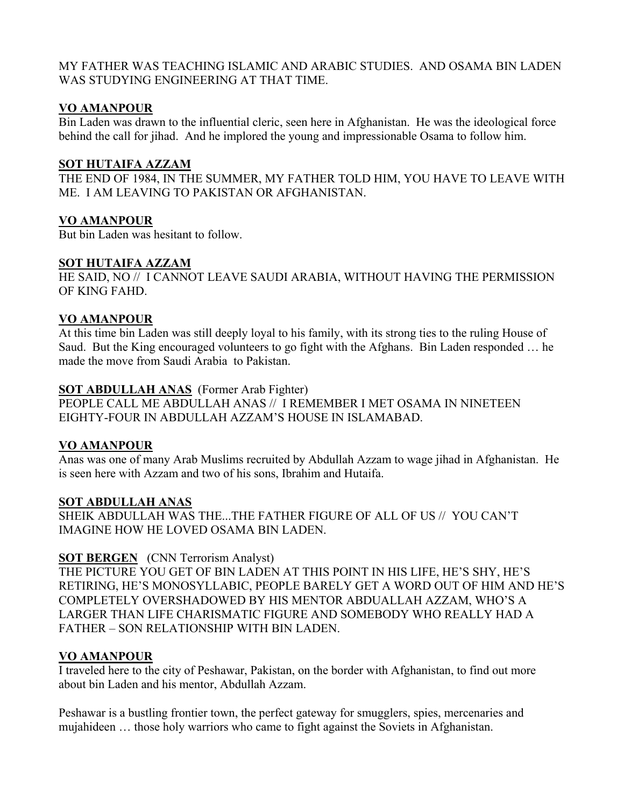# MY FATHER WAS TEACHING ISLAMIC AND ARABIC STUDIES. AND OSAMA BIN LADEN WAS STUDYING ENGINEERING AT THAT TIME.

# **VO AMANPOUR**

Bin Laden was drawn to the influential cleric, seen here in Afghanistan. He was the ideological force behind the call for jihad. And he implored the young and impressionable Osama to follow him.

## **SOT HUTAIFA AZZAM**

THE END OF 1984, IN THE SUMMER, MY FATHER TOLD HIM, YOU HAVE TO LEAVE WITH ME. I AM LEAVING TO PAKISTAN OR AFGHANISTAN.

# **VO AMANPOUR**

But bin Laden was hesitant to follow.

# **SOT HUTAIFA AZZAM**

HE SAID, NO // I CANNOT LEAVE SAUDI ARABIA, WITHOUT HAVING THE PERMISSION OF KING FAHD.

# **VO AMANPOUR**

At this time bin Laden was still deeply loyal to his family, with its strong ties to the ruling House of Saud. But the King encouraged volunteers to go fight with the Afghans. Bin Laden responded … he made the move from Saudi Arabia to Pakistan.

# **SOT ABDULLAH ANAS** (Former Arab Fighter)

PEOPLE CALL ME ABDULLAH ANAS // I REMEMBER I MET OSAMA IN NINETEEN EIGHTY-FOUR IN ABDULLAH AZZAM'S HOUSE IN ISLAMABAD.

# **VO AMANPOUR**

Anas was one of many Arab Muslims recruited by Abdullah Azzam to wage jihad in Afghanistan. He is seen here with Azzam and two of his sons, Ibrahim and Hutaifa.

# **SOT ABDULLAH ANAS**

SHEIK ABDULLAH WAS THE...THE FATHER FIGURE OF ALL OF US // YOU CAN'T IMAGINE HOW HE LOVED OSAMA BIN LADEN.

# **SOT BERGEN** (CNN Terrorism Analyst)

THE PICTURE YOU GET OF BIN LADEN AT THIS POINT IN HIS LIFE, HE'S SHY, HE'S RETIRING, HE'S MONOSYLLABIC, PEOPLE BARELY GET A WORD OUT OF HIM AND HE'S COMPLETELY OVERSHADOWED BY HIS MENTOR ABDUALLAH AZZAM, WHO'S A LARGER THAN LIFE CHARISMATIC FIGURE AND SOMEBODY WHO REALLY HAD A FATHER – SON RELATIONSHIP WITH BIN LADEN.

# **VO AMANPOUR**

I traveled here to the city of Peshawar, Pakistan, on the border with Afghanistan, to find out more about bin Laden and his mentor, Abdullah Azzam.

Peshawar is a bustling frontier town, the perfect gateway for smugglers, spies, mercenaries and mujahideen … those holy warriors who came to fight against the Soviets in Afghanistan.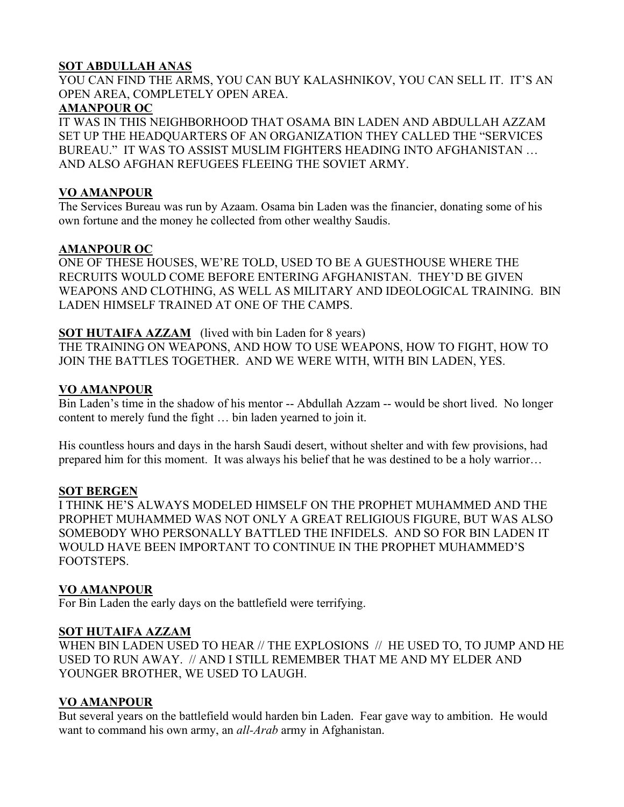# **SOT ABDULLAH ANAS**

YOU CAN FIND THE ARMS, YOU CAN BUY KALASHNIKOV, YOU CAN SELL IT. IT'S AN OPEN AREA, COMPLETELY OPEN AREA.

# **AMANPOUR OC**

IT WAS IN THIS NEIGHBORHOOD THAT OSAMA BIN LADEN AND ABDULLAH AZZAM SET UP THE HEADQUARTERS OF AN ORGANIZATION THEY CALLED THE "SERVICES BUREAU." IT WAS TO ASSIST MUSLIM FIGHTERS HEADING INTO AFGHANISTAN … AND ALSO AFGHAN REFUGEES FLEEING THE SOVIET ARMY.

# **VO AMANPOUR**

The Services Bureau was run by Azaam. Osama bin Laden was the financier, donating some of his own fortune and the money he collected from other wealthy Saudis.

# **AMANPOUR OC**

ONE OF THESE HOUSES, WE'RE TOLD, USED TO BE A GUESTHOUSE WHERE THE RECRUITS WOULD COME BEFORE ENTERING AFGHANISTAN. THEY'D BE GIVEN WEAPONS AND CLOTHING, AS WELL AS MILITARY AND IDEOLOGICAL TRAINING. BIN LADEN HIMSELF TRAINED AT ONE OF THE CAMPS.

# **SOT HUTAIFA AZZAM** (lived with bin Laden for 8 years)

THE TRAINING ON WEAPONS, AND HOW TO USE WEAPONS, HOW TO FIGHT, HOW TO JOIN THE BATTLES TOGETHER. AND WE WERE WITH, WITH BIN LADEN, YES.

# **VO AMANPOUR**

Bin Laden's time in the shadow of his mentor -- Abdullah Azzam -- would be short lived. No longer content to merely fund the fight … bin laden yearned to join it.

His countless hours and days in the harsh Saudi desert, without shelter and with few provisions, had prepared him for this moment. It was always his belief that he was destined to be a holy warrior…

# **SOT BERGEN**

I THINK HE'S ALWAYS MODELED HIMSELF ON THE PROPHET MUHAMMED AND THE PROPHET MUHAMMED WAS NOT ONLY A GREAT RELIGIOUS FIGURE, BUT WAS ALSO SOMEBODY WHO PERSONALLY BATTLED THE INFIDELS. AND SO FOR BIN LADEN IT WOULD HAVE BEEN IMPORTANT TO CONTINUE IN THE PROPHET MUHAMMED'S FOOTSTEPS.

# **VO AMANPOUR**

For Bin Laden the early days on the battlefield were terrifying.

# **SOT HUTAIFA AZZAM**

WHEN BIN LADEN USED TO HEAR // THE EXPLOSIONS // HE USED TO, TO JUMP AND HE USED TO RUN AWAY. // AND I STILL REMEMBER THAT ME AND MY ELDER AND YOUNGER BROTHER, WE USED TO LAUGH.

# **VO AMANPOUR**

But several years on the battlefield would harden bin Laden. Fear gave way to ambition. He would want to command his own army, an *all-Arab* army in Afghanistan.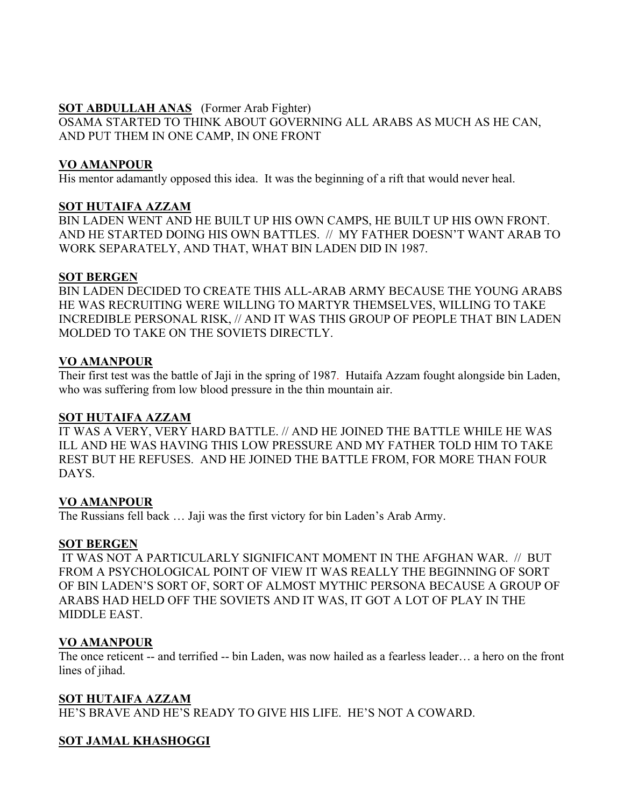## **SOT ABDULLAH ANAS** (Former Arab Fighter)

OSAMA STARTED TO THINK ABOUT GOVERNING ALL ARABS AS MUCH AS HE CAN, AND PUT THEM IN ONE CAMP, IN ONE FRONT

# **VO AMANPOUR**

His mentor adamantly opposed this idea. It was the beginning of a rift that would never heal.

## **SOT HUTAIFA AZZAM**

BIN LADEN WENT AND HE BUILT UP HIS OWN CAMPS, HE BUILT UP HIS OWN FRONT. AND HE STARTED DOING HIS OWN BATTLES. // MY FATHER DOESN'T WANT ARAB TO WORK SEPARATELY, AND THAT, WHAT BIN LADEN DID IN 1987.

## **SOT BERGEN**

BIN LADEN DECIDED TO CREATE THIS ALL-ARAB ARMY BECAUSE THE YOUNG ARABS HE WAS RECRUITING WERE WILLING TO MARTYR THEMSELVES, WILLING TO TAKE INCREDIBLE PERSONAL RISK, // AND IT WAS THIS GROUP OF PEOPLE THAT BIN LADEN MOLDED TO TAKE ON THE SOVIETS DIRECTLY.

# **VO AMANPOUR**

Their first test was the battle of Jaji in the spring of 1987. Hutaifa Azzam fought alongside bin Laden, who was suffering from low blood pressure in the thin mountain air.

# **SOT HUTAIFA AZZAM**

IT WAS A VERY, VERY HARD BATTLE. // AND HE JOINED THE BATTLE WHILE HE WAS ILL AND HE WAS HAVING THIS LOW PRESSURE AND MY FATHER TOLD HIM TO TAKE REST BUT HE REFUSES. AND HE JOINED THE BATTLE FROM, FOR MORE THAN FOUR **DAYS** 

# **VO AMANPOUR**

The Russians fell back … Jaji was the first victory for bin Laden's Arab Army.

# **SOT BERGEN**

 IT WAS NOT A PARTICULARLY SIGNIFICANT MOMENT IN THE AFGHAN WAR. // BUT FROM A PSYCHOLOGICAL POINT OF VIEW IT WAS REALLY THE BEGINNING OF SORT OF BIN LADEN'S SORT OF, SORT OF ALMOST MYTHIC PERSONA BECAUSE A GROUP OF ARABS HAD HELD OFF THE SOVIETS AND IT WAS, IT GOT A LOT OF PLAY IN THE MIDDLE EAST.

# **VO AMANPOUR**

The once reticent -- and terrified -- bin Laden, was now hailed as a fearless leader… a hero on the front lines of jihad.

# **SOT HUTAIFA AZZAM**

HE'S BRAVE AND HE'S READY TO GIVE HIS LIFE. HE'S NOT A COWARD.

# **SOT JAMAL KHASHOGGI**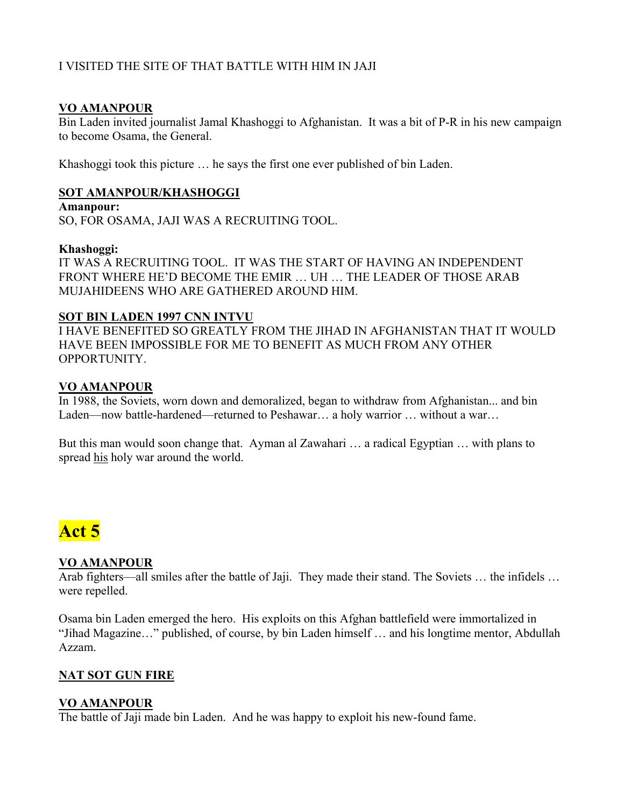# I VISITED THE SITE OF THAT BATTLE WITH HIM IN JAJI

## **VO AMANPOUR**

Bin Laden invited journalist Jamal Khashoggi to Afghanistan. It was a bit of P-R in his new campaign to become Osama, the General.

Khashoggi took this picture … he says the first one ever published of bin Laden.

## **SOT AMANPOUR/KHASHOGGI**

**Amanpour:** 

SO, FOR OSAMA, JAJI WAS A RECRUITING TOOL.

#### **Khashoggi:**

IT WAS A RECRUITING TOOL. IT WAS THE START OF HAVING AN INDEPENDENT FRONT WHERE HE'D BECOME THE EMIR … UH … THE LEADER OF THOSE ARAB MUJAHIDEENS WHO ARE GATHERED AROUND HIM.

#### **SOT BIN LADEN 1997 CNN INTVU**

I HAVE BENEFITED SO GREATLY FROM THE JIHAD IN AFGHANISTAN THAT IT WOULD HAVE BEEN IMPOSSIBLE FOR ME TO BENEFIT AS MUCH FROM ANY OTHER OPPORTUNITY.

#### **VO AMANPOUR**

In 1988, the Soviets, worn down and demoralized, began to withdraw from Afghanistan... and bin Laden—now battle-hardened—returned to Peshawar… a holy warrior … without a war…

But this man would soon change that. Ayman al Zawahari … a radical Egyptian … with plans to spread his holy war around the world.

# **Act 5**

#### **VO AMANPOUR**

Arab fighters—all smiles after the battle of Jaji. They made their stand. The Soviets … the infidels … were repelled.

Osama bin Laden emerged the hero. His exploits on this Afghan battlefield were immortalized in "Jihad Magazine…" published, of course, by bin Laden himself … and his longtime mentor, Abdullah Azzam.

# **NAT SOT GUN FIRE**

# **VO AMANPOUR**

The battle of Jaji made bin Laden. And he was happy to exploit his new-found fame.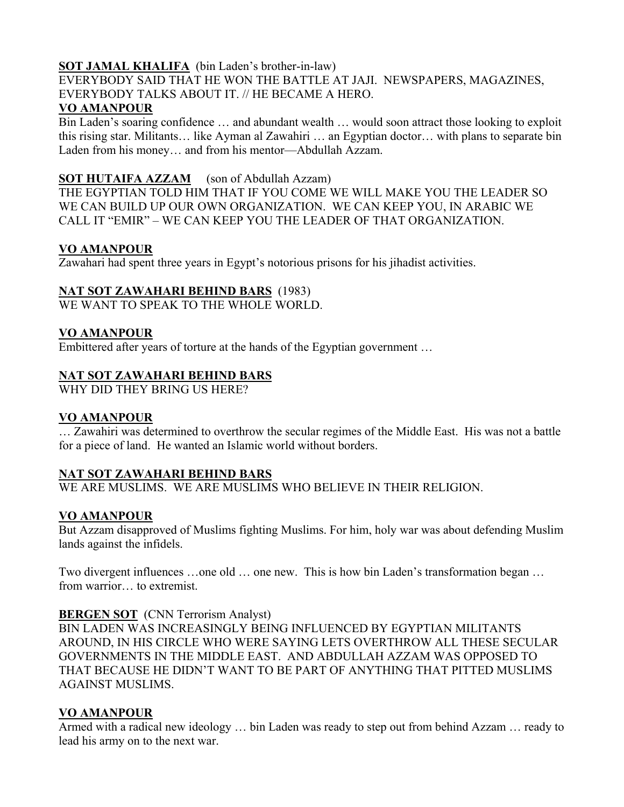# **SOT JAMAL KHALIFA** (bin Laden's brother-in-law)

EVERYBODY SAID THAT HE WON THE BATTLE AT JAJI. NEWSPAPERS, MAGAZINES, EVERYBODY TALKS ABOUT IT. // HE BECAME A HERO.

# **VO AMANPOUR**

Bin Laden's soaring confidence … and abundant wealth … would soon attract those looking to exploit this rising star. Militants… like Ayman al Zawahiri … an Egyptian doctor… with plans to separate bin Laden from his money… and from his mentor—Abdullah Azzam.

# **SOT HUTAIFA AZZAM** (son of Abdullah Azzam)

THE EGYPTIAN TOLD HIM THAT IF YOU COME WE WILL MAKE YOU THE LEADER SO WE CAN BUILD UP OUR OWN ORGANIZATION. WE CAN KEEP YOU, IN ARABIC WE CALL IT "EMIR" – WE CAN KEEP YOU THE LEADER OF THAT ORGANIZATION.

# **VO AMANPOUR**

Zawahari had spent three years in Egypt's notorious prisons for his jihadist activities.

# **NAT SOT ZAWAHARI BEHIND BARS** (1983)

WE WANT TO SPEAK TO THE WHOLE WORLD.

# **VO AMANPOUR**

Embittered after years of torture at the hands of the Egyptian government …

# **NAT SOT ZAWAHARI BEHIND BARS**

WHY DID THEY BRING US HERE?

# **VO AMANPOUR**

… Zawahiri was determined to overthrow the secular regimes of the Middle East. His was not a battle for a piece of land. He wanted an Islamic world without borders.

# **NAT SOT ZAWAHARI BEHIND BARS**

WE ARE MUSLIMS. WE ARE MUSLIMS WHO BELIEVE IN THEIR RELIGION.

# **VO AMANPOUR**

But Azzam disapproved of Muslims fighting Muslims. For him, holy war was about defending Muslim lands against the infidels.

Two divergent influences …one old … one new. This is how bin Laden's transformation began … from warrior… to extremist.

# **BERGEN SOT** (CNN Terrorism Analyst)

BIN LADEN WAS INCREASINGLY BEING INFLUENCED BY EGYPTIAN MILITANTS AROUND, IN HIS CIRCLE WHO WERE SAYING LETS OVERTHROW ALL THESE SECULAR GOVERNMENTS IN THE MIDDLE EAST. AND ABDULLAH AZZAM WAS OPPOSED TO THAT BECAUSE HE DIDN'T WANT TO BE PART OF ANYTHING THAT PITTED MUSLIMS AGAINST MUSLIMS.

# **VO AMANPOUR**

Armed with a radical new ideology … bin Laden was ready to step out from behind Azzam … ready to lead his army on to the next war.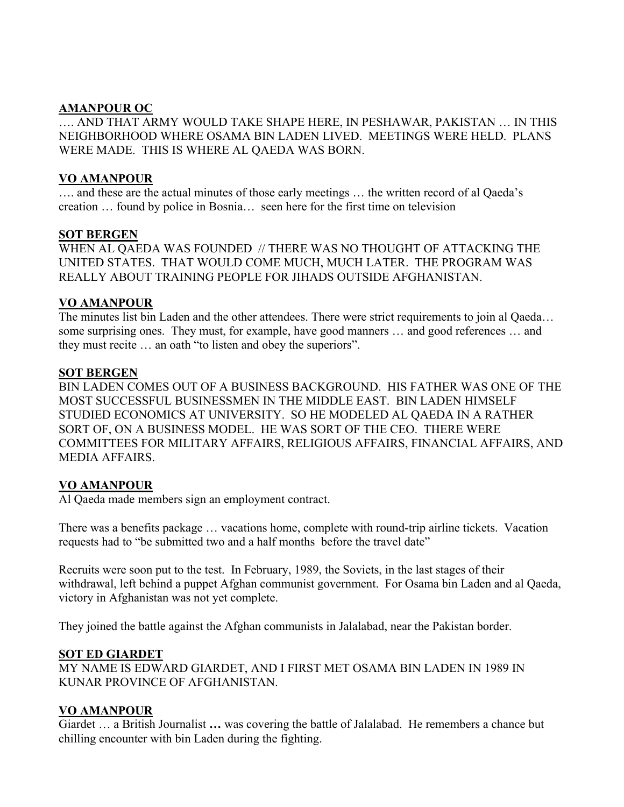## **AMANPOUR OC**

…. AND THAT ARMY WOULD TAKE SHAPE HERE, IN PESHAWAR, PAKISTAN … IN THIS NEIGHBORHOOD WHERE OSAMA BIN LADEN LIVED. MEETINGS WERE HELD. PLANS WERE MADE. THIS IS WHERE AL QAEDA WAS BORN.

## **VO AMANPOUR**

…. and these are the actual minutes of those early meetings … the written record of al Qaeda's creation … found by police in Bosnia… seen here for the first time on television

#### **SOT BERGEN**

WHEN AL QAEDA WAS FOUNDED // THERE WAS NO THOUGHT OF ATTACKING THE UNITED STATES. THAT WOULD COME MUCH, MUCH LATER. THE PROGRAM WAS REALLY ABOUT TRAINING PEOPLE FOR JIHADS OUTSIDE AFGHANISTAN.

# **VO AMANPOUR**

The minutes list bin Laden and the other attendees. There were strict requirements to join al Qaeda… some surprising ones. They must, for example, have good manners … and good references … and they must recite … an oath "to listen and obey the superiors".

## **SOT BERGEN**

BIN LADEN COMES OUT OF A BUSINESS BACKGROUND. HIS FATHER WAS ONE OF THE MOST SUCCESSFUL BUSINESSMEN IN THE MIDDLE EAST. BIN LADEN HIMSELF STUDIED ECONOMICS AT UNIVERSITY. SO HE MODELED AL QAEDA IN A RATHER SORT OF, ON A BUSINESS MODEL. HE WAS SORT OF THE CEO. THERE WERE COMMITTEES FOR MILITARY AFFAIRS, RELIGIOUS AFFAIRS, FINANCIAL AFFAIRS, AND MEDIA AFFAIRS.

# **VO AMANPOUR**

Al Qaeda made members sign an employment contract.

There was a benefits package … vacations home, complete with round-trip airline tickets. Vacation requests had to "be submitted two and a half months before the travel date"

Recruits were soon put to the test. In February, 1989, the Soviets, in the last stages of their withdrawal, left behind a puppet Afghan communist government. For Osama bin Laden and al Qaeda, victory in Afghanistan was not yet complete.

They joined the battle against the Afghan communists in Jalalabad, near the Pakistan border.

#### **SOT ED GIARDET**

MY NAME IS EDWARD GIARDET, AND I FIRST MET OSAMA BIN LADEN IN 1989 IN KUNAR PROVINCE OF AFGHANISTAN.

# **VO AMANPOUR**

Giardet … a British Journalist **…** was covering the battle of Jalalabad. He remembers a chance but chilling encounter with bin Laden during the fighting.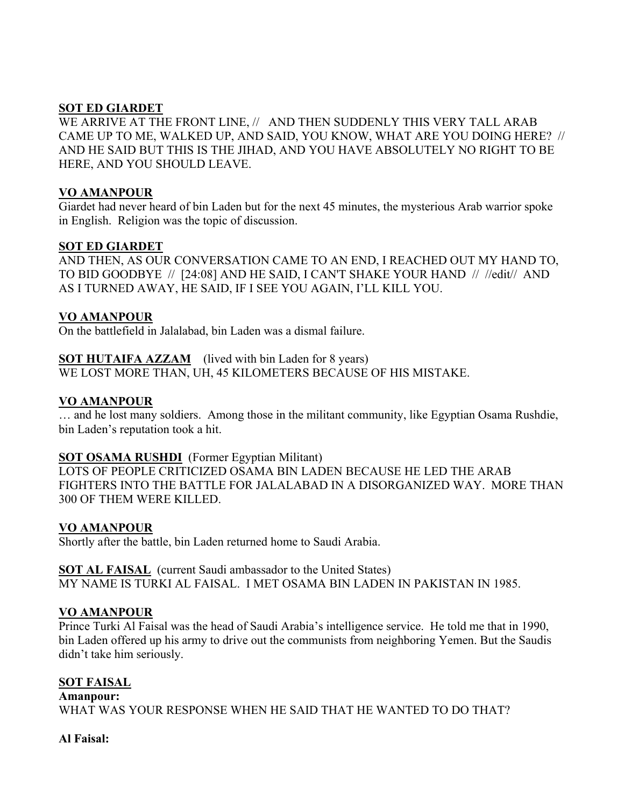## **SOT ED GIARDET**

WE ARRIVE AT THE FRONT LINE, // AND THEN SUDDENLY THIS VERY TALL ARAB CAME UP TO ME, WALKED UP, AND SAID, YOU KNOW, WHAT ARE YOU DOING HERE? // AND HE SAID BUT THIS IS THE JIHAD, AND YOU HAVE ABSOLUTELY NO RIGHT TO BE HERE, AND YOU SHOULD LEAVE.

## **VO AMANPOUR**

Giardet had never heard of bin Laden but for the next 45 minutes, the mysterious Arab warrior spoke in English. Religion was the topic of discussion.

#### **SOT ED GIARDET**

AND THEN, AS OUR CONVERSATION CAME TO AN END, I REACHED OUT MY HAND TO, TO BID GOODBYE // [24:08] AND HE SAID, I CAN'T SHAKE YOUR HAND // //edit// AND AS I TURNED AWAY, HE SAID, IF I SEE YOU AGAIN, I'LL KILL YOU.

## **VO AMANPOUR**

On the battlefield in Jalalabad, bin Laden was a dismal failure.

# **SOT HUTAIFA AZZAM** (lived with bin Laden for 8 years)

WE LOST MORE THAN, UH, 45 KILOMETERS BECAUSE OF HIS MISTAKE.

## **VO AMANPOUR**

… and he lost many soldiers. Among those in the militant community, like Egyptian Osama Rushdie, bin Laden's reputation took a hit.

#### **SOT OSAMA RUSHDI** (Former Egyptian Militant)

LOTS OF PEOPLE CRITICIZED OSAMA BIN LADEN BECAUSE HE LED THE ARAB FIGHTERS INTO THE BATTLE FOR JALALABAD IN A DISORGANIZED WAY. MORE THAN 300 OF THEM WERE KILLED.

#### **VO AMANPOUR**

Shortly after the battle, bin Laden returned home to Saudi Arabia.

**SOT AL FAISAL** (current Saudi ambassador to the United States) MY NAME IS TURKI AL FAISAL. I MET OSAMA BIN LADEN IN PAKISTAN IN 1985.

# **VO AMANPOUR**

Prince Turki Al Faisal was the head of Saudi Arabia's intelligence service. He told me that in 1990, bin Laden offered up his army to drive out the communists from neighboring Yemen. But the Saudis didn't take him seriously.

# **SOT FAISAL**

**Amanpour:**  WHAT WAS YOUR RESPONSE WHEN HE SAID THAT HE WANTED TO DO THAT?

#### **Al Faisal:**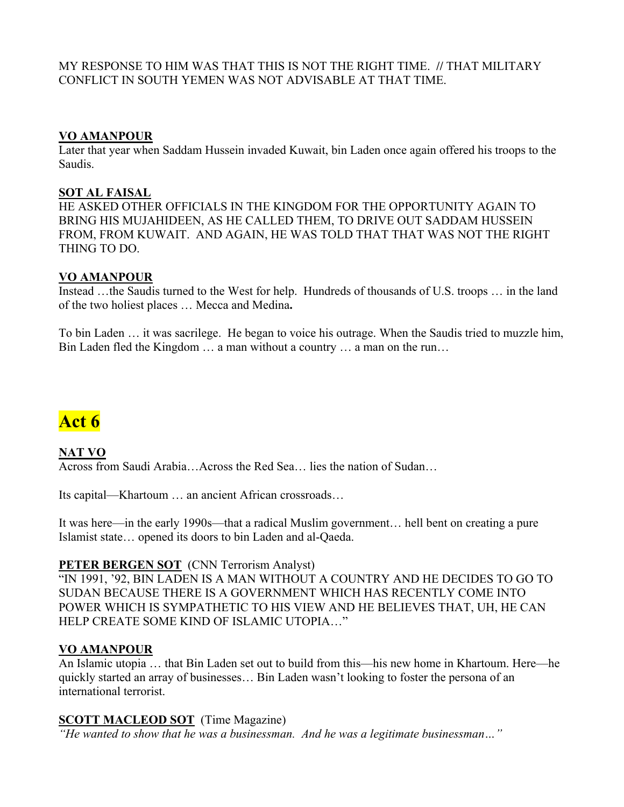MY RESPONSE TO HIM WAS THAT THIS IS NOT THE RIGHT TIME. **//** THAT MILITARY CONFLICT IN SOUTH YEMEN WAS NOT ADVISABLE AT THAT TIME.

#### **VO AMANPOUR**

Later that year when Saddam Hussein invaded Kuwait, bin Laden once again offered his troops to the Saudis.

## **SOT AL FAISAL**

HE ASKED OTHER OFFICIALS IN THE KINGDOM FOR THE OPPORTUNITY AGAIN TO BRING HIS MUJAHIDEEN, AS HE CALLED THEM, TO DRIVE OUT SADDAM HUSSEIN FROM, FROM KUWAIT. AND AGAIN, HE WAS TOLD THAT THAT WAS NOT THE RIGHT THING TO DO.

## **VO AMANPOUR**

Instead …the Saudis turned to the West for help. Hundreds of thousands of U.S. troops … in the land of the two holiest places … Mecca and Medina**.** 

To bin Laden … it was sacrilege. He began to voice his outrage. When the Saudis tried to muzzle him, Bin Laden fled the Kingdom … a man without a country … a man on the run…

# **Act 6**

**NAT VO** Across from Saudi Arabia…Across the Red Sea… lies the nation of Sudan…

Its capital—Khartoum … an ancient African crossroads…

It was here—in the early 1990s—that a radical Muslim government… hell bent on creating a pure Islamist state… opened its doors to bin Laden and al-Qaeda.

#### **PETER BERGEN SOT** (CNN Terrorism Analyst)

"IN 1991, '92, BIN LADEN IS A MAN WITHOUT A COUNTRY AND HE DECIDES TO GO TO SUDAN BECAUSE THERE IS A GOVERNMENT WHICH HAS RECENTLY COME INTO POWER WHICH IS SYMPATHETIC TO HIS VIEW AND HE BELIEVES THAT, UH, HE CAN HELP CREATE SOME KIND OF ISLAMIC UTOPIA…"

# **VO AMANPOUR**

An Islamic utopia … that Bin Laden set out to build from this—his new home in Khartoum. Here—he quickly started an array of businesses… Bin Laden wasn't looking to foster the persona of an international terrorist.

# **SCOTT MACLEOD SOT** (Time Magazine)

*"He wanted to show that he was a businessman. And he was a legitimate businessman…"*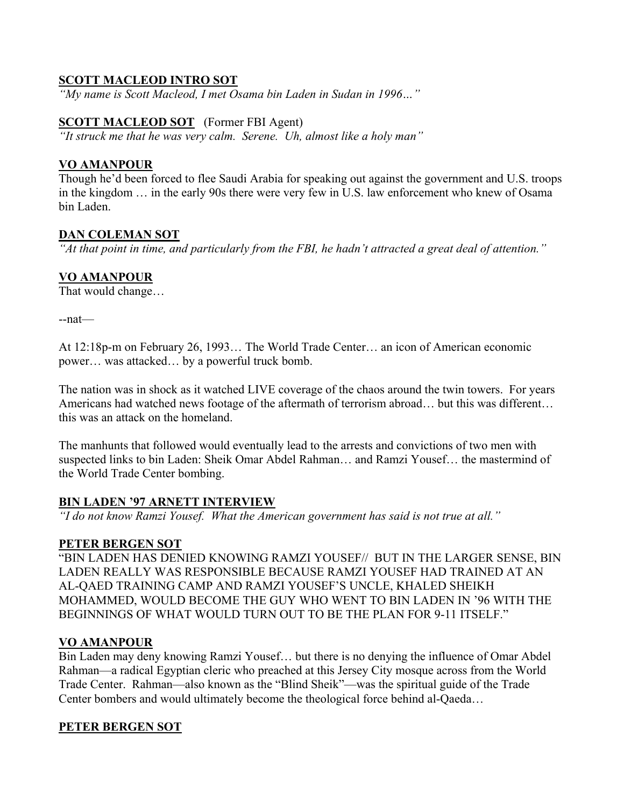# **SCOTT MACLEOD INTRO SOT**

*"My name is Scott Macleod, I met Osama bin Laden in Sudan in 1996…"* 

## **SCOTT MACLEOD SOT** (Former FBI Agent)

*"It struck me that he was very calm. Serene. Uh, almost like a holy man"* 

## **VO AMANPOUR**

Though he'd been forced to flee Saudi Arabia for speaking out against the government and U.S. troops in the kingdom … in the early 90s there were very few in U.S. law enforcement who knew of Osama bin Laden.

## **DAN COLEMAN SOT**

*"At that point in time, and particularly from the FBI, he hadn't attracted a great deal of attention."* 

# **VO AMANPOUR**

That would change…

--nat—

At 12:18p-m on February 26, 1993… The World Trade Center… an icon of American economic power… was attacked… by a powerful truck bomb.

The nation was in shock as it watched LIVE coverage of the chaos around the twin towers. For years Americans had watched news footage of the aftermath of terrorism abroad… but this was different… this was an attack on the homeland.

The manhunts that followed would eventually lead to the arrests and convictions of two men with suspected links to bin Laden: Sheik Omar Abdel Rahman… and Ramzi Yousef… the mastermind of the World Trade Center bombing.

# **BIN LADEN '97 ARNETT INTERVIEW**

*"I do not know Ramzi Yousef. What the American government has said is not true at all."* 

#### **PETER BERGEN SOT**

"BIN LADEN HAS DENIED KNOWING RAMZI YOUSEF// BUT IN THE LARGER SENSE, BIN LADEN REALLY WAS RESPONSIBLE BECAUSE RAMZI YOUSEF HAD TRAINED AT AN AL-QAED TRAINING CAMP AND RAMZI YOUSEF'S UNCLE, KHALED SHEIKH MOHAMMED, WOULD BECOME THE GUY WHO WENT TO BIN LADEN IN '96 WITH THE BEGINNINGS OF WHAT WOULD TURN OUT TO BE THE PLAN FOR 9-11 ITSELF."

# **VO AMANPOUR**

Bin Laden may deny knowing Ramzi Yousef… but there is no denying the influence of Omar Abdel Rahman—a radical Egyptian cleric who preached at this Jersey City mosque across from the World Trade Center. Rahman—also known as the "Blind Sheik"—was the spiritual guide of the Trade Center bombers and would ultimately become the theological force behind al-Qaeda…

# **PETER BERGEN SOT**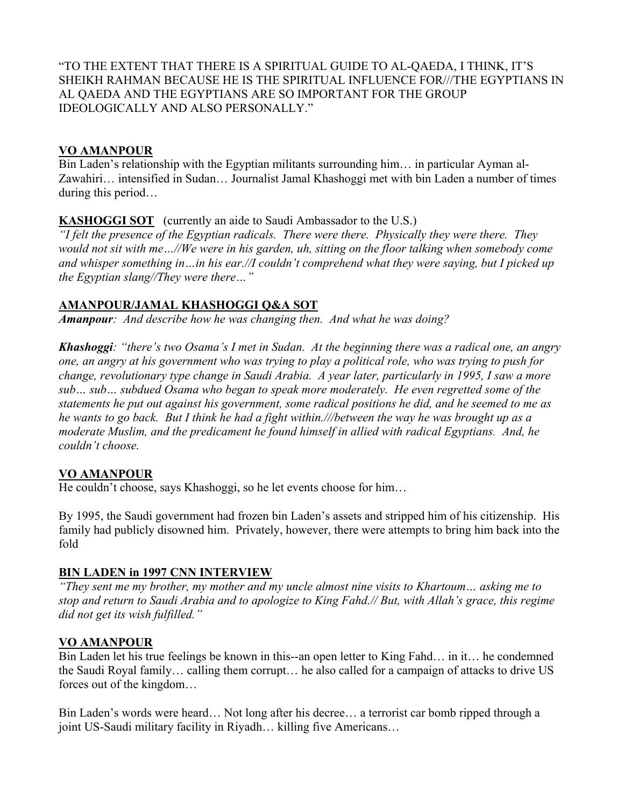"TO THE EXTENT THAT THERE IS A SPIRITUAL GUIDE TO AL-QAEDA, I THINK, IT'S SHEIKH RAHMAN BECAUSE HE IS THE SPIRITUAL INFLUENCE FOR///THE EGYPTIANS IN AL QAEDA AND THE EGYPTIANS ARE SO IMPORTANT FOR THE GROUP IDEOLOGICALLY AND ALSO PERSONALLY."

# **VO AMANPOUR**

Bin Laden's relationship with the Egyptian militants surrounding him… in particular Ayman al-Zawahiri… intensified in Sudan… Journalist Jamal Khashoggi met with bin Laden a number of times during this period…

# **KASHOGGI SOT** (currently an aide to Saudi Ambassador to the U.S.)

*"I felt the presence of the Egyptian radicals. There were there. Physically they were there. They would not sit with me…//We were in his garden, uh, sitting on the floor talking when somebody come and whisper something in…in his ear.//I couldn't comprehend what they were saying, but I picked up the Egyptian slang//They were there…"* 

# **AMANPOUR/JAMAL KHASHOGGI Q&A SOT**

*Amanpour: And describe how he was changing then. And what he was doing?* 

*Khashoggi: "there's two Osama's I met in Sudan. At the beginning there was a radical one, an angry one, an angry at his government who was trying to play a political role, who was trying to push for change, revolutionary type change in Saudi Arabia. A year later, particularly in 1995, I saw a more sub… sub… subdued Osama who began to speak more moderately. He even regretted some of the statements he put out against his government, some radical positions he did, and he seemed to me as he wants to go back. But I think he had a fight within.///between the way he was brought up as a moderate Muslim, and the predicament he found himself in allied with radical Egyptians. And, he couldn't choose.* 

# **VO AMANPOUR**

He couldn't choose, says Khashoggi, so he let events choose for him…

By 1995, the Saudi government had frozen bin Laden's assets and stripped him of his citizenship. His family had publicly disowned him. Privately, however, there were attempts to bring him back into the fold

# **BIN LADEN in 1997 CNN INTERVIEW**

*"They sent me my brother, my mother and my uncle almost nine visits to Khartoum… asking me to stop and return to Saudi Arabia and to apologize to King Fahd.// But, with Allah's grace, this regime did not get its wish fulfilled."* 

# **VO AMANPOUR**

Bin Laden let his true feelings be known in this--an open letter to King Fahd… in it… he condemned the Saudi Royal family… calling them corrupt… he also called for a campaign of attacks to drive US forces out of the kingdom…

Bin Laden's words were heard… Not long after his decree… a terrorist car bomb ripped through a joint US-Saudi military facility in Riyadh… killing five Americans…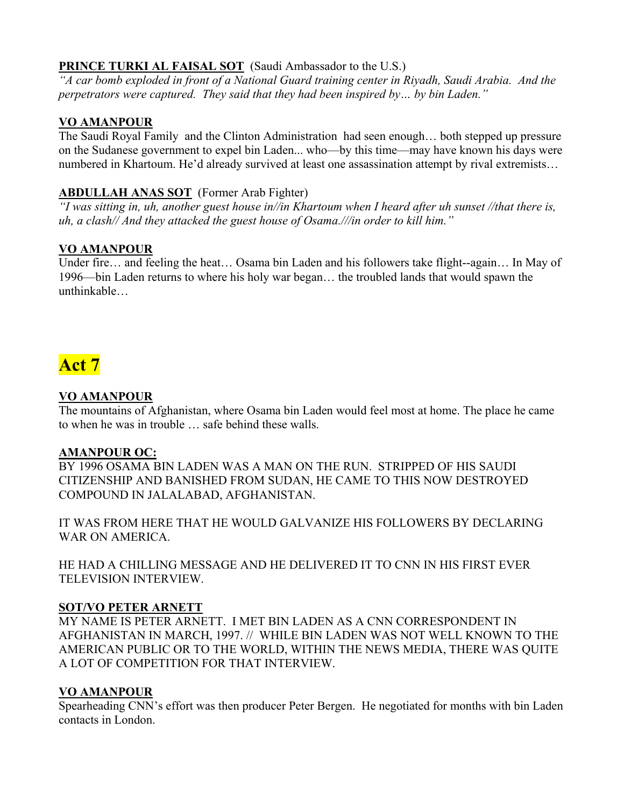# **PRINCE TURKI AL FAISAL SOT** (Saudi Ambassador to the U.S.)

*"A car bomb exploded in front of a National Guard training center in Riyadh, Saudi Arabia. And the perpetrators were captured. They said that they had been inspired by… by bin Laden."* 

# **VO AMANPOUR**

The Saudi Royal Family and the Clinton Administration had seen enough… both stepped up pressure on the Sudanese government to expel bin Laden... who—by this time—may have known his days were numbered in Khartoum. He'd already survived at least one assassination attempt by rival extremists…

# **ABDULLAH ANAS SOT** (Former Arab Fighter)

*"I was sitting in, uh, another guest house in//in Khartoum when I heard after uh sunset //that there is, uh, a clash// And they attacked the guest house of Osama.///in order to kill him."* 

# **VO AMANPOUR**

Under fire… and feeling the heat… Osama bin Laden and his followers take flight--again… In May of 1996—bin Laden returns to where his holy war began… the troubled lands that would spawn the unthinkable…

# **Act 7**

# **VO AMANPOUR**

The mountains of Afghanistan, where Osama bin Laden would feel most at home. The place he came to when he was in trouble … safe behind these walls.

# **AMANPOUR OC:**

BY 1996 OSAMA BIN LADEN WAS A MAN ON THE RUN. STRIPPED OF HIS SAUDI CITIZENSHIP AND BANISHED FROM SUDAN, HE CAME TO THIS NOW DESTROYED COMPOUND IN JALALABAD, AFGHANISTAN.

IT WAS FROM HERE THAT HE WOULD GALVANIZE HIS FOLLOWERS BY DECLARING WAR ON AMERICA.

HE HAD A CHILLING MESSAGE AND HE DELIVERED IT TO CNN IN HIS FIRST EVER TELEVISION INTERVIEW.

# **SOT/VO PETER ARNETT**

MY NAME IS PETER ARNETT. I MET BIN LADEN AS A CNN CORRESPONDENT IN AFGHANISTAN IN MARCH, 1997. // WHILE BIN LADEN WAS NOT WELL KNOWN TO THE AMERICAN PUBLIC OR TO THE WORLD, WITHIN THE NEWS MEDIA, THERE WAS QUITE A LOT OF COMPETITION FOR THAT INTERVIEW.

# **VO AMANPOUR**

Spearheading CNN's effort was then producer Peter Bergen. He negotiated for months with bin Laden contacts in London.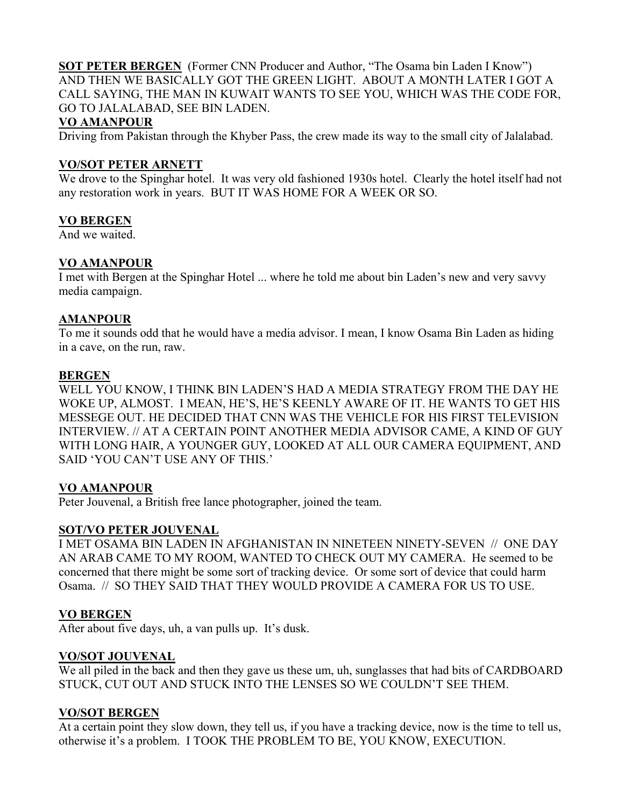**SOT PETER BERGEN** (Former CNN Producer and Author, "The Osama bin Laden I Know") AND THEN WE BASICALLY GOT THE GREEN LIGHT. ABOUT A MONTH LATER I GOT A CALL SAYING, THE MAN IN KUWAIT WANTS TO SEE YOU, WHICH WAS THE CODE FOR, GO TO JALALABAD, SEE BIN LADEN.

# **VO AMANPOUR**

Driving from Pakistan through the Khyber Pass, the crew made its way to the small city of Jalalabad.

# **VO/SOT PETER ARNETT**

We drove to the Spinghar hotel. It was very old fashioned 1930s hotel. Clearly the hotel itself had not any restoration work in years. BUT IT WAS HOME FOR A WEEK OR SO.

# **VO BERGEN**

And we waited.

# **VO AMANPOUR**

I met with Bergen at the Spinghar Hotel ... where he told me about bin Laden's new and very savvy media campaign.

## **AMANPOUR**

To me it sounds odd that he would have a media advisor. I mean, I know Osama Bin Laden as hiding in a cave, on the run, raw.

# **BERGEN**

WELL YOU KNOW, I THINK BIN LADEN'S HAD A MEDIA STRATEGY FROM THE DAY HE WOKE UP, ALMOST. I MEAN, HE'S, HE'S KEENLY AWARE OF IT. HE WANTS TO GET HIS MESSEGE OUT. HE DECIDED THAT CNN WAS THE VEHICLE FOR HIS FIRST TELEVISION INTERVIEW. // AT A CERTAIN POINT ANOTHER MEDIA ADVISOR CAME, A KIND OF GUY WITH LONG HAIR, A YOUNGER GUY, LOOKED AT ALL OUR CAMERA EQUIPMENT, AND SAID 'YOU CAN'T USE ANY OF THIS.'

# **VO AMANPOUR**

Peter Jouvenal, a British free lance photographer, joined the team.

# **SOT/VO PETER JOUVENAL**

I MET OSAMA BIN LADEN IN AFGHANISTAN IN NINETEEN NINETY-SEVEN // ONE DAY AN ARAB CAME TO MY ROOM, WANTED TO CHECK OUT MY CAMERA. He seemed to be concerned that there might be some sort of tracking device. Or some sort of device that could harm Osama. // SO THEY SAID THAT THEY WOULD PROVIDE A CAMERA FOR US TO USE.

# **VO BERGEN**

After about five days, uh, a van pulls up. It's dusk.

# **VO/SOT JOUVENAL**

We all piled in the back and then they gave us these um, uh, sunglasses that had bits of CARDBOARD STUCK, CUT OUT AND STUCK INTO THE LENSES SO WE COULDN'T SEE THEM.

#### **VO/SOT BERGEN**

At a certain point they slow down, they tell us, if you have a tracking device, now is the time to tell us, otherwise it's a problem. I TOOK THE PROBLEM TO BE, YOU KNOW, EXECUTION.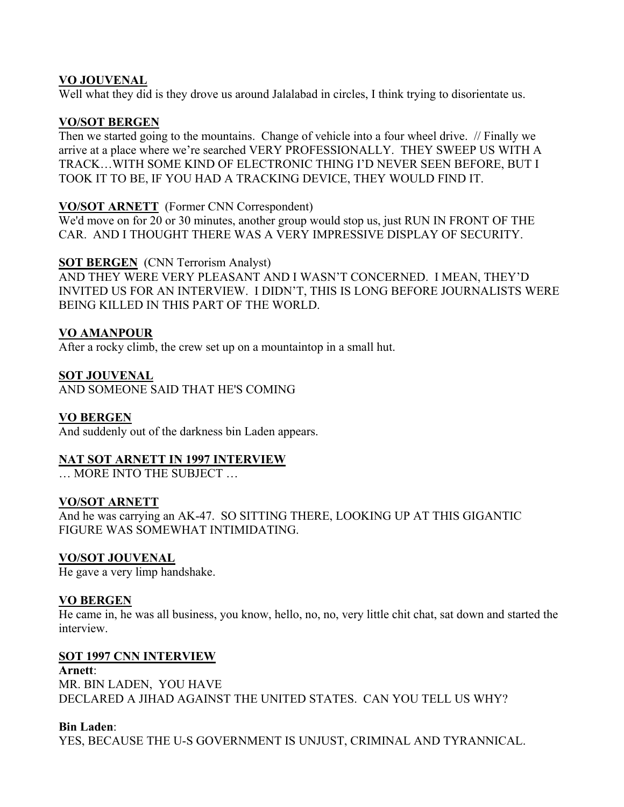## **VO JOUVENAL**

Well what they did is they drove us around Jalalabad in circles. I think trying to disorientate us.

# **VO/SOT BERGEN**

Then we started going to the mountains. Change of vehicle into a four wheel drive. // Finally we arrive at a place where we're searched VERY PROFESSIONALLY. THEY SWEEP US WITH A TRACK…WITH SOME KIND OF ELECTRONIC THING I'D NEVER SEEN BEFORE, BUT I TOOK IT TO BE, IF YOU HAD A TRACKING DEVICE, THEY WOULD FIND IT.

## **VO/SOT ARNETT** (Former CNN Correspondent)

We'd move on for 20 or 30 minutes, another group would stop us, just RUN IN FRONT OF THE CAR. AND I THOUGHT THERE WAS A VERY IMPRESSIVE DISPLAY OF SECURITY.

#### **SOT BERGEN** (CNN Terrorism Analyst)

AND THEY WERE VERY PLEASANT AND I WASN'T CONCERNED. I MEAN, THEY'D INVITED US FOR AN INTERVIEW. I DIDN'T, THIS IS LONG BEFORE JOURNALISTS WERE BEING KILLED IN THIS PART OF THE WORLD.

## **VO AMANPOUR**

After a rocky climb, the crew set up on a mountaintop in a small hut.

#### **SOT JOUVENAL**

AND SOMEONE SAID THAT HE'S COMING

#### **VO BERGEN**

And suddenly out of the darkness bin Laden appears.

#### **NAT SOT ARNETT IN 1997 INTERVIEW**

**MORE INTO THE SUBJECT** 

## **VO/SOT ARNETT**

And he was carrying an AK-47. SO SITTING THERE, LOOKING UP AT THIS GIGANTIC FIGURE WAS SOMEWHAT INTIMIDATING.

#### **VO/SOT JOUVENAL**

He gave a very limp handshake.

#### **VO BERGEN**

He came in, he was all business, you know, hello, no, no, very little chit chat, sat down and started the interview.

#### **SOT 1997 CNN INTERVIEW**

**Arnett**: MR. BIN LADEN, YOU HAVE DECLARED A JIHAD AGAINST THE UNITED STATES. CAN YOU TELL US WHY?

#### **Bin Laden**:

YES, BECAUSE THE U-S GOVERNMENT IS UNJUST, CRIMINAL AND TYRANNICAL.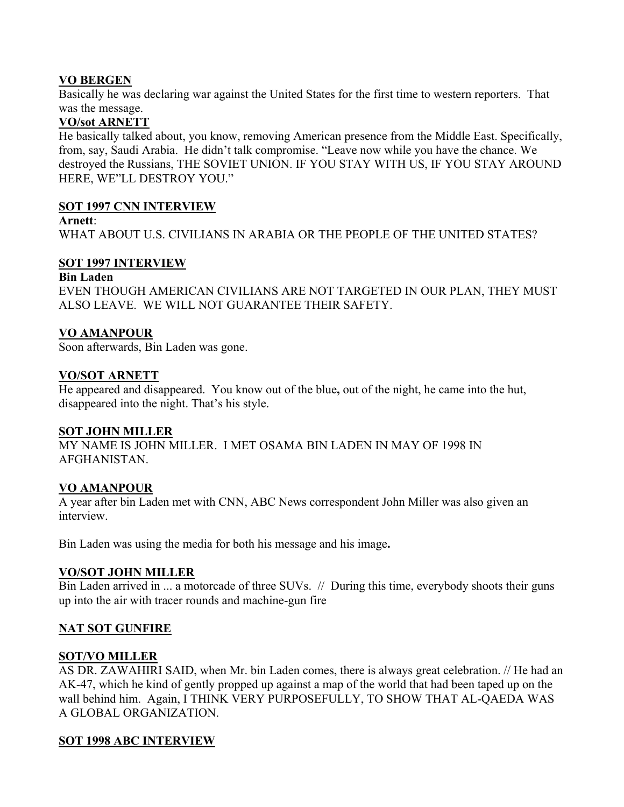## **VO BERGEN**

Basically he was declaring war against the United States for the first time to western reporters. That was the message.

# **VO/sot ARNETT**

He basically talked about, you know, removing American presence from the Middle East. Specifically, from, say, Saudi Arabia. He didn't talk compromise. "Leave now while you have the chance. We destroyed the Russians, THE SOVIET UNION. IF YOU STAY WITH US, IF YOU STAY AROUND HERE, WE"LL DESTROY YOU."

#### **SOT 1997 CNN INTERVIEW**

#### **Arnett**:

WHAT ABOUT U.S. CIVILIANS IN ARABIA OR THE PEOPLE OF THE UNITED STATES?

#### **SOT 1997 INTERVIEW**

#### **Bin Laden**

EVEN THOUGH AMERICAN CIVILIANS ARE NOT TARGETED IN OUR PLAN, THEY MUST ALSO LEAVE. WE WILL NOT GUARANTEE THEIR SAFETY.

## **VO AMANPOUR**

Soon afterwards, Bin Laden was gone.

## **VO/SOT ARNETT**

He appeared and disappeared. You know out of the blue**,** out of the night, he came into the hut, disappeared into the night. That's his style.

#### **SOT JOHN MILLER**

MY NAME IS JOHN MILLER. I MET OSAMA BIN LADEN IN MAY OF 1998 IN AFGHANISTAN.

# **VO AMANPOUR**

A year after bin Laden met with CNN, ABC News correspondent John Miller was also given an interview.

Bin Laden was using the media for both his message and his image**.**

#### **VO/SOT JOHN MILLER**

Bin Laden arrived in ... a motorcade of three SUVs. // During this time, everybody shoots their guns up into the air with tracer rounds and machine-gun fire

# **NAT SOT GUNFIRE**

#### **SOT/VO MILLER**

AS DR. ZAWAHIRI SAID, when Mr. bin Laden comes, there is always great celebration. // He had an AK-47, which he kind of gently propped up against a map of the world that had been taped up on the wall behind him. Again, I THINK VERY PURPOSEFULLY, TO SHOW THAT AL-QAEDA WAS A GLOBAL ORGANIZATION.

# **SOT 1998 ABC INTERVIEW**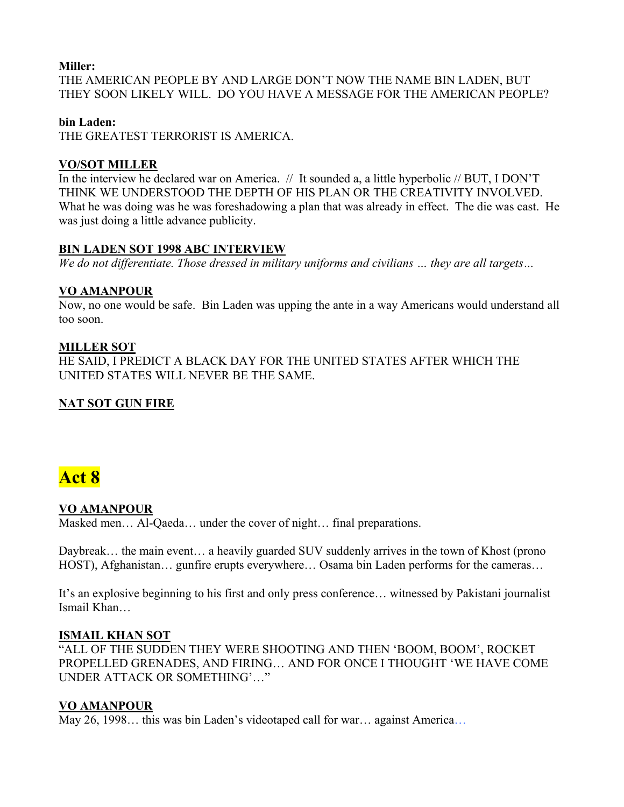# **Miller:**

THE AMERICAN PEOPLE BY AND LARGE DON'T NOW THE NAME BIN LADEN, BUT THEY SOON LIKELY WILL. DO YOU HAVE A MESSAGE FOR THE AMERICAN PEOPLE?

# **bin Laden:**

THE GREATEST TERRORIST IS AMERICA.

# **VO/SOT MILLER**

In the interview he declared war on America. // It sounded a, a little hyperbolic // BUT, I DON'T THINK WE UNDERSTOOD THE DEPTH OF HIS PLAN OR THE CREATIVITY INVOLVED. What he was doing was he was foreshadowing a plan that was already in effect. The die was cast. He was just doing a little advance publicity.

# **BIN LADEN SOT 1998 ABC INTERVIEW**

*We do not differentiate. Those dressed in military uniforms and civilians … they are all targets…* 

# **VO AMANPOUR**

Now, no one would be safe. Bin Laden was upping the ante in a way Americans would understand all too soon.

# **MILLER SOT**

HE SAID, I PREDICT A BLACK DAY FOR THE UNITED STATES AFTER WHICH THE UNITED STATES WILL NEVER BE THE SAME.

# **NAT SOT GUN FIRE**

# **Act 8**

# **VO AMANPOUR**

Masked men… Al-Qaeda… under the cover of night… final preparations.

Daybreak... the main event... a heavily guarded SUV suddenly arrives in the town of Khost (prono HOST), Afghanistan... gunfire erupts everywhere... Osama bin Laden performs for the cameras...

It's an explosive beginning to his first and only press conference… witnessed by Pakistani journalist Ismail Khan…

# **ISMAIL KHAN SOT**

"ALL OF THE SUDDEN THEY WERE SHOOTING AND THEN 'BOOM, BOOM', ROCKET PROPELLED GRENADES, AND FIRING… AND FOR ONCE I THOUGHT 'WE HAVE COME UNDER ATTACK OR SOMETHING'…"

# **VO AMANPOUR**

May 26, 1998... this was bin Laden's videotaped call for war... against America...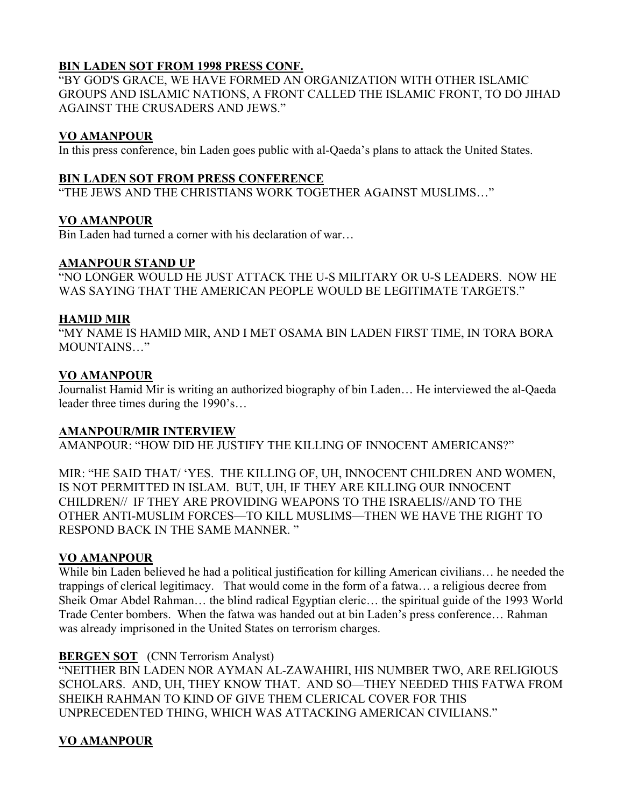# **BIN LADEN SOT FROM 1998 PRESS CONF.**

"BY GOD'S GRACE, WE HAVE FORMED AN ORGANIZATION WITH OTHER ISLAMIC GROUPS AND ISLAMIC NATIONS, A FRONT CALLED THE ISLAMIC FRONT, TO DO JIHAD AGAINST THE CRUSADERS AND JEWS."

# **VO AMANPOUR**

In this press conference, bin Laden goes public with al-Qaeda's plans to attack the United States.

# **BIN LADEN SOT FROM PRESS CONFERENCE**

"THE JEWS AND THE CHRISTIANS WORK TOGETHER AGAINST MUSLIMS…"

# **VO AMANPOUR**

Bin Laden had turned a corner with his declaration of war…

# **AMANPOUR STAND UP**

"NO LONGER WOULD HE JUST ATTACK THE U-S MILITARY OR U-S LEADERS. NOW HE WAS SAYING THAT THE AMERICAN PEOPLE WOULD BE LEGITIMATE TARGETS."

# **HAMID MIR**

"MY NAME IS HAMID MIR, AND I MET OSAMA BIN LADEN FIRST TIME, IN TORA BORA MOUNTAINS…"

# **VO AMANPOUR**

Journalist Hamid Mir is writing an authorized biography of bin Laden… He interviewed the al-Qaeda leader three times during the 1990's…

# **AMANPOUR/MIR INTERVIEW**

AMANPOUR: "HOW DID HE JUSTIFY THE KILLING OF INNOCENT AMERICANS?"

MIR: "HE SAID THAT/ 'YES. THE KILLING OF, UH, INNOCENT CHILDREN AND WOMEN, IS NOT PERMITTED IN ISLAM. BUT, UH, IF THEY ARE KILLING OUR INNOCENT CHILDREN// IF THEY ARE PROVIDING WEAPONS TO THE ISRAELIS//AND TO THE OTHER ANTI-MUSLIM FORCES—TO KILL MUSLIMS—THEN WE HAVE THE RIGHT TO RESPOND BACK IN THE SAME MANNER. "

# **VO AMANPOUR**

While bin Laden believed he had a political justification for killing American civilians… he needed the trappings of clerical legitimacy. That would come in the form of a fatwa… a religious decree from Sheik Omar Abdel Rahman… the blind radical Egyptian cleric… the spiritual guide of the 1993 World Trade Center bombers. When the fatwa was handed out at bin Laden's press conference… Rahman was already imprisoned in the United States on terrorism charges.

# **BERGEN SOT** (CNN Terrorism Analyst)

"NEITHER BIN LADEN NOR AYMAN AL-ZAWAHIRI, HIS NUMBER TWO, ARE RELIGIOUS SCHOLARS. AND, UH, THEY KNOW THAT. AND SO—THEY NEEDED THIS FATWA FROM SHEIKH RAHMAN TO KIND OF GIVE THEM CLERICAL COVER FOR THIS UNPRECEDENTED THING, WHICH WAS ATTACKING AMERICAN CIVILIANS."

# **VO AMANPOUR**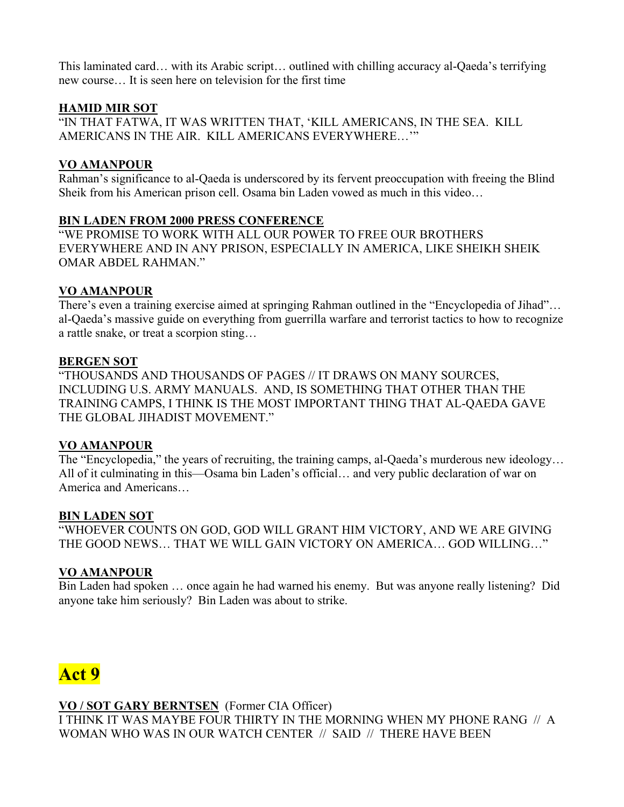This laminated card… with its Arabic script… outlined with chilling accuracy al-Qaeda's terrifying new course… It is seen here on television for the first time

# **HAMID MIR SOT**

"IN THAT FATWA, IT WAS WRITTEN THAT, 'KILL AMERICANS, IN THE SEA. KILL AMERICANS IN THE AIR. KILL AMERICANS EVERYWHERE…'"

# **VO AMANPOUR**

Rahman's significance to al-Qaeda is underscored by its fervent preoccupation with freeing the Blind Sheik from his American prison cell. Osama bin Laden vowed as much in this video…

# **BIN LADEN FROM 2000 PRESS CONFERENCE**

"WE PROMISE TO WORK WITH ALL OUR POWER TO FREE OUR BROTHERS EVERYWHERE AND IN ANY PRISON, ESPECIALLY IN AMERICA, LIKE SHEIKH SHEIK OMAR ABDEL RAHMAN."

# **VO AMANPOUR**

There's even a training exercise aimed at springing Rahman outlined in the "Encyclopedia of Jihad"… al-Qaeda's massive guide on everything from guerrilla warfare and terrorist tactics to how to recognize a rattle snake, or treat a scorpion sting…

# **BERGEN SOT**

"THOUSANDS AND THOUSANDS OF PAGES // IT DRAWS ON MANY SOURCES, INCLUDING U.S. ARMY MANUALS. AND, IS SOMETHING THAT OTHER THAN THE TRAINING CAMPS, I THINK IS THE MOST IMPORTANT THING THAT AL-QAEDA GAVE THE GLOBAL JIHADIST MOVEMENT."

# **VO AMANPOUR**

The "Encyclopedia," the years of recruiting, the training camps, al-Qaeda's murderous new ideology... All of it culminating in this—Osama bin Laden's official… and very public declaration of war on America and Americans…

# **BIN LADEN SOT**

"WHOEVER COUNTS ON GOD, GOD WILL GRANT HIM VICTORY, AND WE ARE GIVING THE GOOD NEWS… THAT WE WILL GAIN VICTORY ON AMERICA… GOD WILLING…"

# **VO AMANPOUR**

Bin Laden had spoken … once again he had warned his enemy. But was anyone really listening? Did anyone take him seriously? Bin Laden was about to strike.



**VO / SOT GARY BERNTSEN** (Former CIA Officer) I THINK IT WAS MAYBE FOUR THIRTY IN THE MORNING WHEN MY PHONE RANG // A WOMAN WHO WAS IN OUR WATCH CENTER // SAID // THERE HAVE BEEN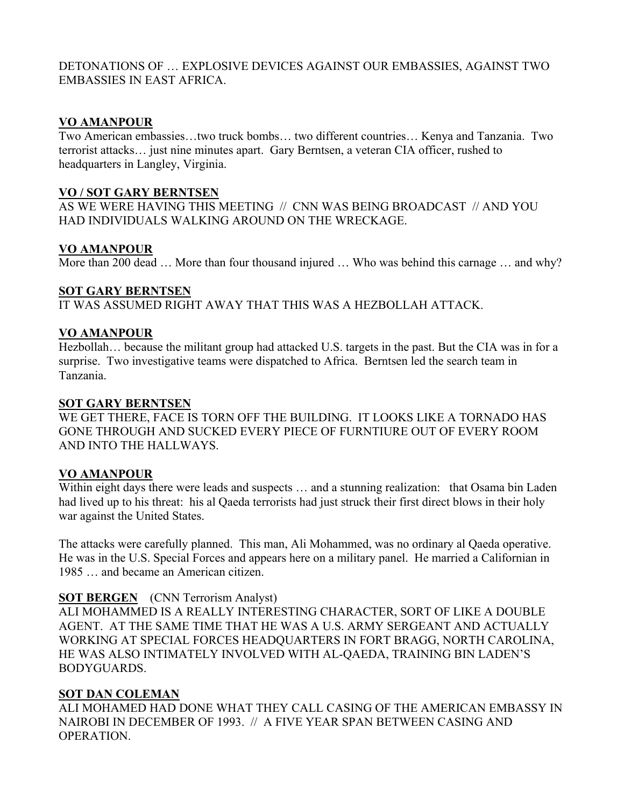# DETONATIONS OF … EXPLOSIVE DEVICES AGAINST OUR EMBASSIES, AGAINST TWO EMBASSIES IN EAST AFRICA.

# **VO AMANPOUR**

Two American embassies…two truck bombs… two different countries… Kenya and Tanzania. Two terrorist attacks… just nine minutes apart. Gary Berntsen, a veteran CIA officer, rushed to headquarters in Langley, Virginia.

#### **VO / SOT GARY BERNTSEN**

AS WE WERE HAVING THIS MEETING // CNN WAS BEING BROADCAST // AND YOU HAD INDIVIDUALS WALKING AROUND ON THE WRECKAGE.

# **VO AMANPOUR**

More than 200 dead ... More than four thousand injured ... Who was behind this carnage ... and why?

## **SOT GARY BERNTSEN**

IT WAS ASSUMED RIGHT AWAY THAT THIS WAS A HEZBOLLAH ATTACK.

## **VO AMANPOUR**

Hezbollah… because the militant group had attacked U.S. targets in the past. But the CIA was in for a surprise. Two investigative teams were dispatched to Africa. Berntsen led the search team in Tanzania.

#### **SOT GARY BERNTSEN**

WE GET THERE, FACE IS TORN OFF THE BUILDING. IT LOOKS LIKE A TORNADO HAS GONE THROUGH AND SUCKED EVERY PIECE OF FURNTIURE OUT OF EVERY ROOM AND INTO THE HALLWAYS.

# **VO AMANPOUR**

Within eight days there were leads and suspects … and a stunning realization: that Osama bin Laden had lived up to his threat: his al Qaeda terrorists had just struck their first direct blows in their holy war against the United States.

The attacks were carefully planned. This man, Ali Mohammed, was no ordinary al Qaeda operative. He was in the U.S. Special Forces and appears here on a military panel. He married a Californian in 1985 … and became an American citizen.

# **SOT BERGEN** (CNN Terrorism Analyst)

ALI MOHAMMED IS A REALLY INTERESTING CHARACTER, SORT OF LIKE A DOUBLE AGENT. AT THE SAME TIME THAT HE WAS A U.S. ARMY SERGEANT AND ACTUALLY WORKING AT SPECIAL FORCES HEADQUARTERS IN FORT BRAGG, NORTH CAROLINA, HE WAS ALSO INTIMATELY INVOLVED WITH AL-QAEDA, TRAINING BIN LADEN'S BODYGUARDS.

#### **SOT DAN COLEMAN**

ALI MOHAMED HAD DONE WHAT THEY CALL CASING OF THE AMERICAN EMBASSY IN NAIROBI IN DECEMBER OF 1993. // A FIVE YEAR SPAN BETWEEN CASING AND OPERATION.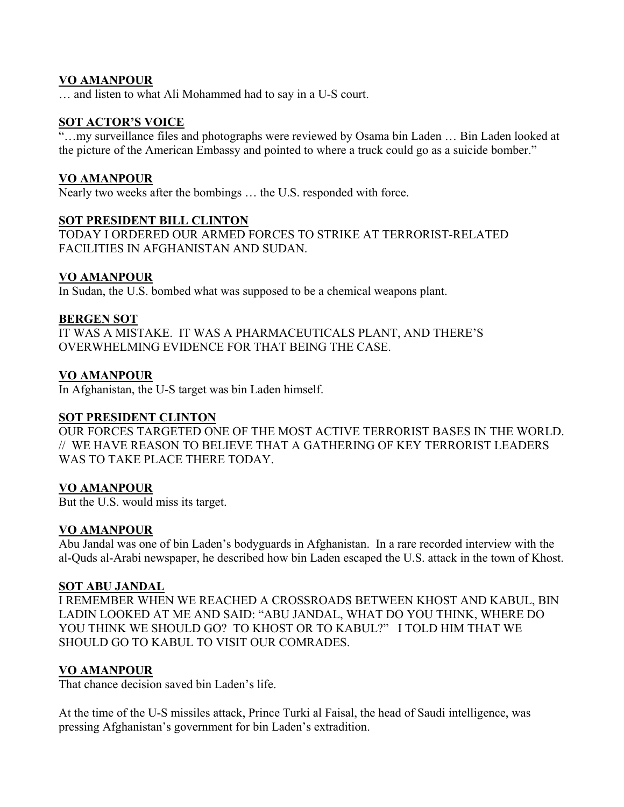## **VO AMANPOUR**

… and listen to what Ali Mohammed had to say in a U-S court.

#### **SOT ACTOR'S VOICE**

"…my surveillance files and photographs were reviewed by Osama bin Laden … Bin Laden looked at the picture of the American Embassy and pointed to where a truck could go as a suicide bomber."

## **VO AMANPOUR**

Nearly two weeks after the bombings … the U.S. responded with force.

## **SOT PRESIDENT BILL CLINTON**

TODAY I ORDERED OUR ARMED FORCES TO STRIKE AT TERRORIST-RELATED FACILITIES IN AFGHANISTAN AND SUDAN.

## **VO AMANPOUR**

In Sudan, the U.S. bombed what was supposed to be a chemical weapons plant.

## **BERGEN SOT**

IT WAS A MISTAKE. IT WAS A PHARMACEUTICALS PLANT, AND THERE'S OVERWHELMING EVIDENCE FOR THAT BEING THE CASE.

## **VO AMANPOUR**

In Afghanistan, the U-S target was bin Laden himself.

#### **SOT PRESIDENT CLINTON**

OUR FORCES TARGETED ONE OF THE MOST ACTIVE TERRORIST BASES IN THE WORLD. // WE HAVE REASON TO BELIEVE THAT A GATHERING OF KEY TERRORIST LEADERS WAS TO TAKE PLACE THERE TODAY.

# **VO AMANPOUR**

But the U.S. would miss its target.

# **VO AMANPOUR**

Abu Jandal was one of bin Laden's bodyguards in Afghanistan. In a rare recorded interview with the al-Quds al-Arabi newspaper, he described how bin Laden escaped the U.S. attack in the town of Khost.

#### **SOT ABU JANDAL**

I REMEMBER WHEN WE REACHED A CROSSROADS BETWEEN KHOST AND KABUL, BIN LADIN LOOKED AT ME AND SAID: "ABU JANDAL, WHAT DO YOU THINK, WHERE DO YOU THINK WE SHOULD GO? TO KHOST OR TO KABUL?" I TOLD HIM THAT WE SHOULD GO TO KABUL TO VISIT OUR COMRADES.

# **VO AMANPOUR**

That chance decision saved bin Laden's life.

At the time of the U-S missiles attack, Prince Turki al Faisal, the head of Saudi intelligence, was pressing Afghanistan's government for bin Laden's extradition.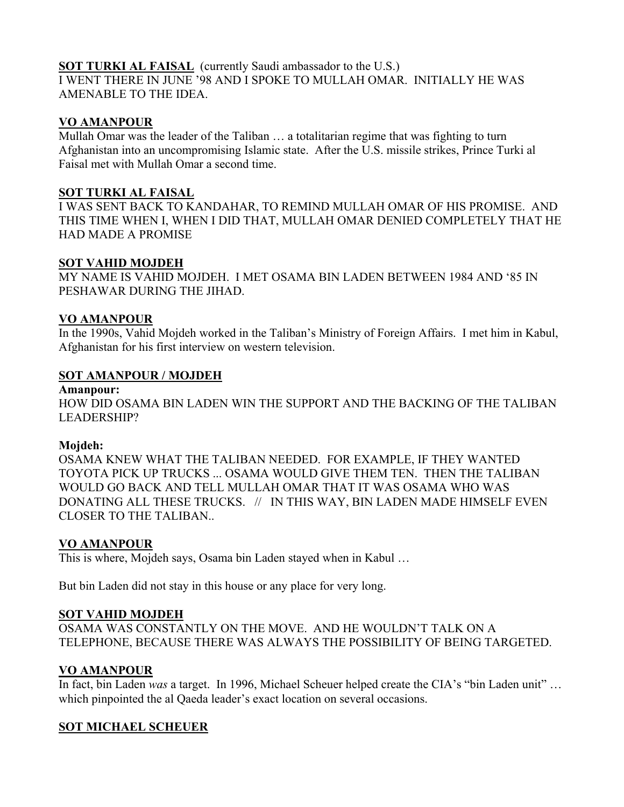# **SOT TURKI AL FAISAL** (currently Saudi ambassador to the U.S.)

I WENT THERE IN JUNE '98 AND I SPOKE TO MULLAH OMAR. INITIALLY HE WAS AMENABLE TO THE IDEA.

## **VO AMANPOUR**

Mullah Omar was the leader of the Taliban … a totalitarian regime that was fighting to turn Afghanistan into an uncompromising Islamic state. After the U.S. missile strikes, Prince Turki al Faisal met with Mullah Omar a second time.

## **SOT TURKI AL FAISAL**

I WAS SENT BACK TO KANDAHAR, TO REMIND MULLAH OMAR OF HIS PROMISE. AND THIS TIME WHEN I, WHEN I DID THAT, MULLAH OMAR DENIED COMPLETELY THAT HE HAD MADE A PROMISE

## **SOT VAHID MOJDEH**

MY NAME IS VAHID MOJDEH. I MET OSAMA BIN LADEN BETWEEN 1984 AND '85 IN PESHAWAR DURING THE JIHAD.

## **VO AMANPOUR**

In the 1990s, Vahid Mojdeh worked in the Taliban's Ministry of Foreign Affairs. I met him in Kabul, Afghanistan for his first interview on western television.

## **SOT AMANPOUR / MOJDEH**

#### **Amanpour:**

HOW DID OSAMA BIN LADEN WIN THE SUPPORT AND THE BACKING OF THE TALIBAN LEADERSHIP?

#### **Mojdeh:**

OSAMA KNEW WHAT THE TALIBAN NEEDED. FOR EXAMPLE, IF THEY WANTED TOYOTA PICK UP TRUCKS ... OSAMA WOULD GIVE THEM TEN. THEN THE TALIBAN WOULD GO BACK AND TELL MULLAH OMAR THAT IT WAS OSAMA WHO WAS DONATING ALL THESE TRUCKS. // IN THIS WAY, BIN LADEN MADE HIMSELF EVEN CLOSER TO THE TALIBAN..

# **VO AMANPOUR**

This is where, Mojdeh says, Osama bin Laden stayed when in Kabul …

But bin Laden did not stay in this house or any place for very long.

#### **SOT VAHID MOJDEH**

OSAMA WAS CONSTANTLY ON THE MOVE. AND HE WOULDN'T TALK ON A TELEPHONE, BECAUSE THERE WAS ALWAYS THE POSSIBILITY OF BEING TARGETED.

# **VO AMANPOUR**

In fact, bin Laden *was* a target. In 1996, Michael Scheuer helped create the CIA's "bin Laden unit" … which pinpointed the al Qaeda leader's exact location on several occasions.

# **SOT MICHAEL SCHEUER**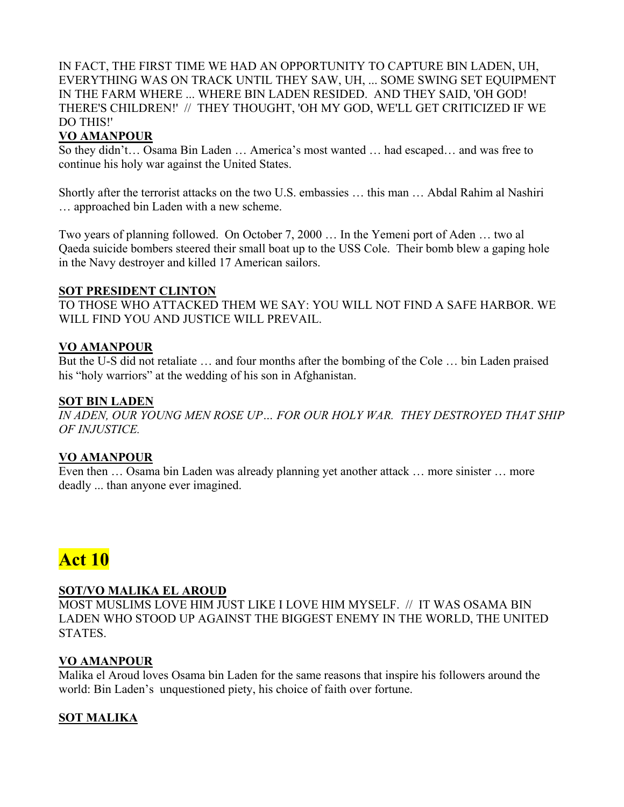## IN FACT, THE FIRST TIME WE HAD AN OPPORTUNITY TO CAPTURE BIN LADEN, UH, EVERYTHING WAS ON TRACK UNTIL THEY SAW, UH, ... SOME SWING SET EQUIPMENT IN THE FARM WHERE ... WHERE BIN LADEN RESIDED. AND THEY SAID, 'OH GOD! THERE'S CHILDREN!' // THEY THOUGHT, 'OH MY GOD, WE'LL GET CRITICIZED IF WE DO THIS!'

# **VO AMANPOUR**

So they didn't… Osama Bin Laden … America's most wanted … had escaped… and was free to continue his holy war against the United States.

Shortly after the terrorist attacks on the two U.S. embassies … this man … Abdal Rahim al Nashiri … approached bin Laden with a new scheme.

Two years of planning followed. On October 7, 2000 … In the Yemeni port of Aden … two al Qaeda suicide bombers steered their small boat up to the USS Cole. Their bomb blew a gaping hole in the Navy destroyer and killed 17 American sailors.

## **SOT PRESIDENT CLINTON**

TO THOSE WHO ATTACKED THEM WE SAY: YOU WILL NOT FIND A SAFE HARBOR. WE WILL FIND YOU AND JUSTICE WILL PREVAIL.

# **VO AMANPOUR**

But the U-S did not retaliate … and four months after the bombing of the Cole … bin Laden praised his "holy warriors" at the wedding of his son in Afghanistan.

## **SOT BIN LADEN**

*IN ADEN, OUR YOUNG MEN ROSE UP… FOR OUR HOLY WAR. THEY DESTROYED THAT SHIP OF INJUSTICE.* 

# **VO AMANPOUR**

Even then … Osama bin Laden was already planning yet another attack … more sinister … more deadly ... than anyone ever imagined.

# **Act 10**

# **SOT/VO MALIKA EL AROUD**

MOST MUSLIMS LOVE HIM JUST LIKE I LOVE HIM MYSELF. // IT WAS OSAMA BIN LADEN WHO STOOD UP AGAINST THE BIGGEST ENEMY IN THE WORLD, THE UNITED STATES.

# **VO AMANPOUR**

Malika el Aroud loves Osama bin Laden for the same reasons that inspire his followers around the world: Bin Laden's unquestioned piety, his choice of faith over fortune.

# **SOT MALIKA**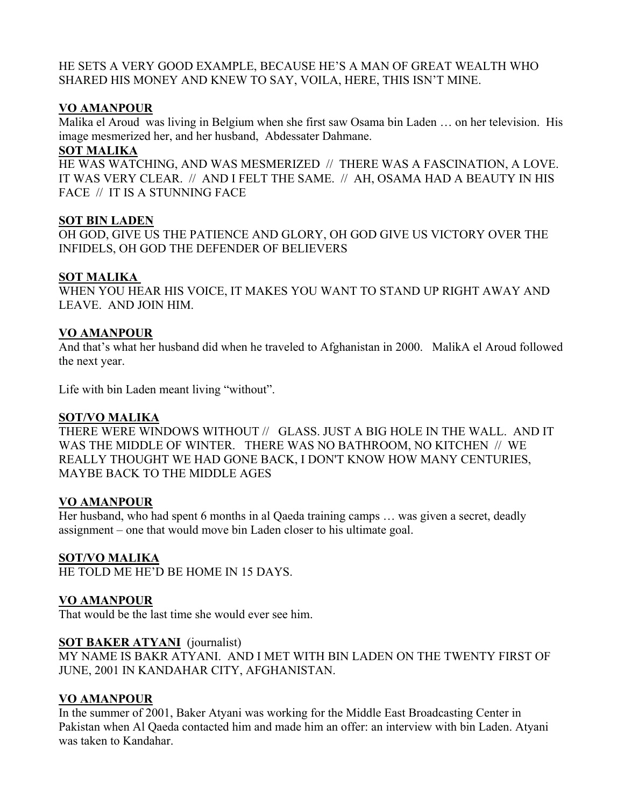HE SETS A VERY GOOD EXAMPLE, BECAUSE HE'S A MAN OF GREAT WEALTH WHO SHARED HIS MONEY AND KNEW TO SAY, VOILA, HERE, THIS ISN'T MINE.

# **VO AMANPOUR**

Malika el Aroud was living in Belgium when she first saw Osama bin Laden … on her television. His image mesmerized her, and her husband, Abdessater Dahmane.

# **SOT MALIKA**

HE WAS WATCHING, AND WAS MESMERIZED // THERE WAS A FASCINATION, A LOVE. IT WAS VERY CLEAR. // AND I FELT THE SAME. // AH, OSAMA HAD A BEAUTY IN HIS FACE // IT IS A STUNNING FACE

## **SOT BIN LADEN**

OH GOD, GIVE US THE PATIENCE AND GLORY, OH GOD GIVE US VICTORY OVER THE INFIDELS, OH GOD THE DEFENDER OF BELIEVERS

## **SOT MALIKA**

WHEN YOU HEAR HIS VOICE, IT MAKES YOU WANT TO STAND UP RIGHT AWAY AND LEAVE. AND JOIN HIM.

## **VO AMANPOUR**

And that's what her husband did when he traveled to Afghanistan in 2000. MalikA el Aroud followed the next year.

Life with bin Laden meant living "without".

#### **SOT/VO MALIKA**

THERE WERE WINDOWS WITHOUT // GLASS. JUST A BIG HOLE IN THE WALL. AND IT WAS THE MIDDLE OF WINTER. THERE WAS NO BATHROOM, NO KITCHEN // WE REALLY THOUGHT WE HAD GONE BACK, I DON'T KNOW HOW MANY CENTURIES, MAYBE BACK TO THE MIDDLE AGES

# **VO AMANPOUR**

Her husband, who had spent 6 months in al Qaeda training camps ... was given a secret, deadly assignment – one that would move bin Laden closer to his ultimate goal.

# **SOT/VO MALIKA**

HE TOLD ME HE'D BE HOME IN 15 DAYS.

# **VO AMANPOUR**

That would be the last time she would ever see him.

#### **SOT BAKER ATYANI** (journalist)

MY NAME IS BAKR ATYANI. AND I MET WITH BIN LADEN ON THE TWENTY FIRST OF JUNE, 2001 IN KANDAHAR CITY, AFGHANISTAN.

# **VO AMANPOUR**

In the summer of 2001, Baker Atyani was working for the Middle East Broadcasting Center in Pakistan when Al Qaeda contacted him and made him an offer: an interview with bin Laden. Atyani was taken to Kandahar.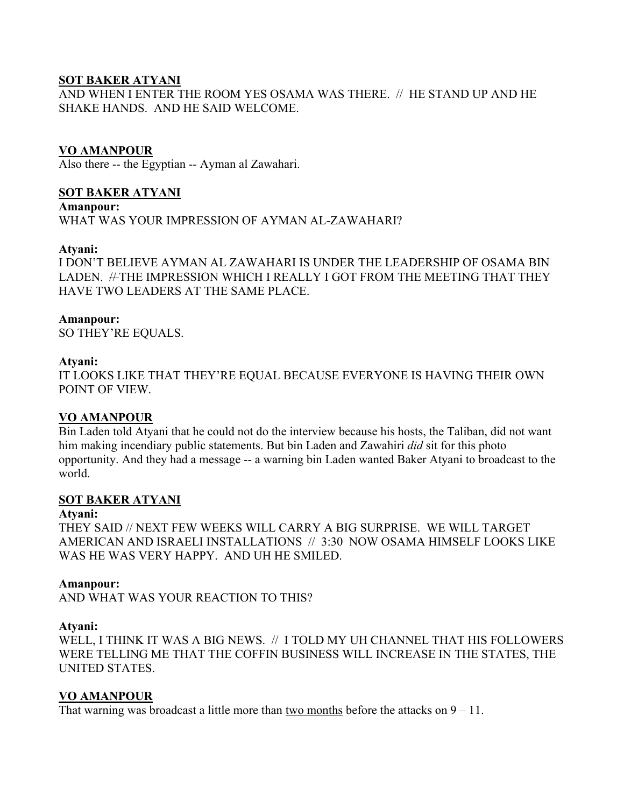# **SOT BAKER ATYANI**

AND WHEN I ENTER THE ROOM YES OSAMA WAS THERE. // HE STAND UP AND HE SHAKE HANDS. AND HE SAID WELCOME.

## **VO AMANPOUR**

Also there -- the Egyptian -- Ayman al Zawahari.

# **SOT BAKER ATYANI**

**Amanpour:**  WHAT WAS YOUR IMPRESSION OF AYMAN AL-ZAWAHARI?

#### **Atyani:**

I DON'T BELIEVE AYMAN AL ZAWAHARI IS UNDER THE LEADERSHIP OF OSAMA BIN LADEN. #THE IMPRESSION WHICH I REALLY I GOT FROM THE MEETING THAT THEY HAVE TWO LEADERS AT THE SAME PLACE.

#### **Amanpour:**

SO THEY'RE EQUALS.

#### **Atyani:**

IT LOOKS LIKE THAT THEY'RE EQUAL BECAUSE EVERYONE IS HAVING THEIR OWN POINT OF VIEW.

#### **VO AMANPOUR**

Bin Laden told Atyani that he could not do the interview because his hosts, the Taliban, did not want him making incendiary public statements. But bin Laden and Zawahiri *did* sit for this photo opportunity. And they had a message -- a warning bin Laden wanted Baker Atyani to broadcast to the world.

## **SOT BAKER ATYANI**

#### **Atyani:**

THEY SAID // NEXT FEW WEEKS WILL CARRY A BIG SURPRISE. WE WILL TARGET AMERICAN AND ISRAELI INSTALLATIONS // 3:30 NOW OSAMA HIMSELF LOOKS LIKE WAS HE WAS VERY HAPPY. AND UH HE SMILED.

#### **Amanpour:**

AND WHAT WAS YOUR REACTION TO THIS?

#### **Atyani:**

WELL, I THINK IT WAS A BIG NEWS. // I TOLD MY UH CHANNEL THAT HIS FOLLOWERS WERE TELLING ME THAT THE COFFIN BUSINESS WILL INCREASE IN THE STATES, THE UNITED STATES.

#### **VO AMANPOUR**

That warning was broadcast a little more than two months before the attacks on  $9 - 11$ .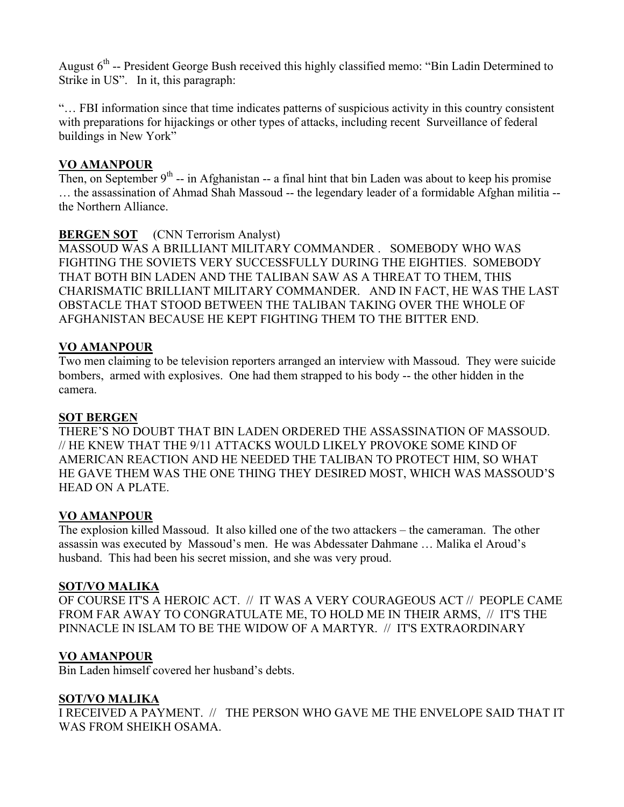August 6<sup>th</sup> -- President George Bush received this highly classified memo: "Bin Ladin Determined to Strike in US". In it, this paragraph:

"… FBI information since that time indicates patterns of suspicious activity in this country consistent with preparations for hijackings or other types of attacks, including recent Surveillance of federal buildings in New York"

# **VO AMANPOUR**

Then, on September  $9<sup>th</sup>$  -- in Afghanistan -- a final hint that bin Laden was about to keep his promise … the assassination of Ahmad Shah Massoud -- the legendary leader of a formidable Afghan militia - the Northern Alliance.

# **BERGEN SOT** (CNN Terrorism Analyst)

MASSOUD WAS A BRILLIANT MILITARY COMMANDER . SOMEBODY WHO WAS FIGHTING THE SOVIETS VERY SUCCESSFULLY DURING THE EIGHTIES. SOMEBODY THAT BOTH BIN LADEN AND THE TALIBAN SAW AS A THREAT TO THEM, THIS CHARISMATIC BRILLIANT MILITARY COMMANDER. AND IN FACT, HE WAS THE LAST OBSTACLE THAT STOOD BETWEEN THE TALIBAN TAKING OVER THE WHOLE OF AFGHANISTAN BECAUSE HE KEPT FIGHTING THEM TO THE BITTER END.

# **VO AMANPOUR**

Two men claiming to be television reporters arranged an interview with Massoud. They were suicide bombers, armed with explosives. One had them strapped to his body -- the other hidden in the camera.

#### **SOT BERGEN**

THERE'S NO DOUBT THAT BIN LADEN ORDERED THE ASSASSINATION OF MASSOUD. // HE KNEW THAT THE 9/11 ATTACKS WOULD LIKELY PROVOKE SOME KIND OF AMERICAN REACTION AND HE NEEDED THE TALIBAN TO PROTECT HIM, SO WHAT HE GAVE THEM WAS THE ONE THING THEY DESIRED MOST, WHICH WAS MASSOUD'S HEAD ON A PLATE.

# **VO AMANPOUR**

The explosion killed Massoud. It also killed one of the two attackers – the cameraman. The other assassin was executed by Massoud's men. He was Abdessater Dahmane … Malika el Aroud's husband. This had been his secret mission, and she was very proud.

#### **SOT/VO MALIKA**

OF COURSE IT'S A HEROIC ACT. // IT WAS A VERY COURAGEOUS ACT // PEOPLE CAME FROM FAR AWAY TO CONGRATULATE ME, TO HOLD ME IN THEIR ARMS, // IT'S THE PINNACLE IN ISLAM TO BE THE WIDOW OF A MARTYR. // IT'S EXTRAORDINARY

# **VO AMANPOUR**

Bin Laden himself covered her husband's debts.

# **SOT/VO MALIKA**

I RECEIVED A PAYMENT. // THE PERSON WHO GAVE ME THE ENVELOPE SAID THAT IT WAS FROM SHEIKH OSAMA.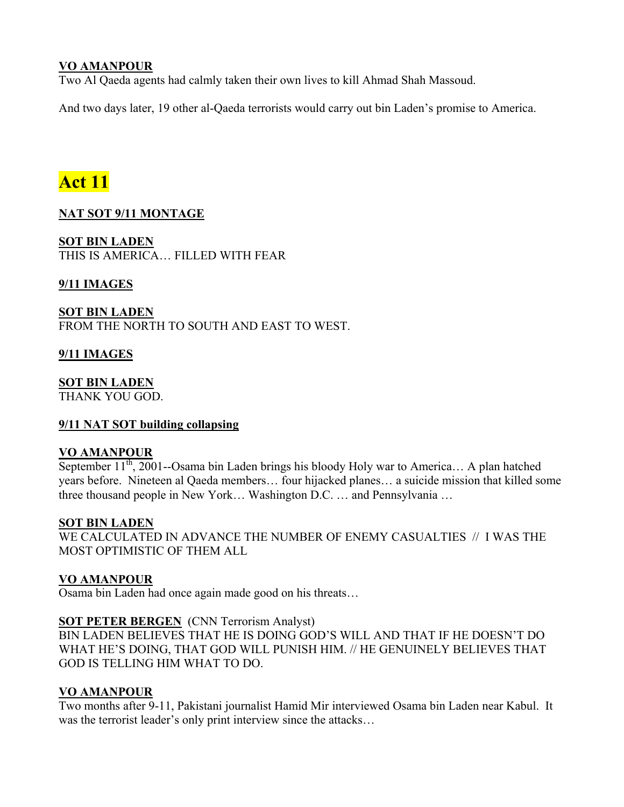# **VO AMANPOUR**

Two Al Qaeda agents had calmly taken their own lives to kill Ahmad Shah Massoud.

And two days later, 19 other al-Qaeda terrorists would carry out bin Laden's promise to America.

# **Act 11**

# **NAT SOT 9/11 MONTAGE**

**SOT BIN LADEN** THIS IS AMERICA… FILLED WITH FEAR

**9/11 IMAGES**

**SOT BIN LADEN** FROM THE NORTH TO SOUTH AND EAST TO WEST.

## **9/11 IMAGES**

**SOT BIN LADEN**

THANK YOU GOD.

# **9/11 NAT SOT building collapsing**

#### **VO AMANPOUR**

September  $11^{th}$ , 2001--Osama bin Laden brings his bloody Holy war to America... A plan hatched years before. Nineteen al Qaeda members… four hijacked planes… a suicide mission that killed some three thousand people in New York… Washington D.C. … and Pennsylvania …

#### **SOT BIN LADEN**

WE CALCULATED IN ADVANCE THE NUMBER OF ENEMY CASUALTIES // I WAS THE MOST OPTIMISTIC OF THEM ALL

# **VO AMANPOUR**

Osama bin Laden had once again made good on his threats…

#### **SOT PETER BERGEN** (CNN Terrorism Analyst)

BIN LADEN BELIEVES THAT HE IS DOING GOD'S WILL AND THAT IF HE DOESN'T DO WHAT HE'S DOING, THAT GOD WILL PUNISH HIM. // HE GENUINELY BELIEVES THAT GOD IS TELLING HIM WHAT TO DO.

#### **VO AMANPOUR**

Two months after 9-11, Pakistani journalist Hamid Mir interviewed Osama bin Laden near Kabul. It was the terrorist leader's only print interview since the attacks…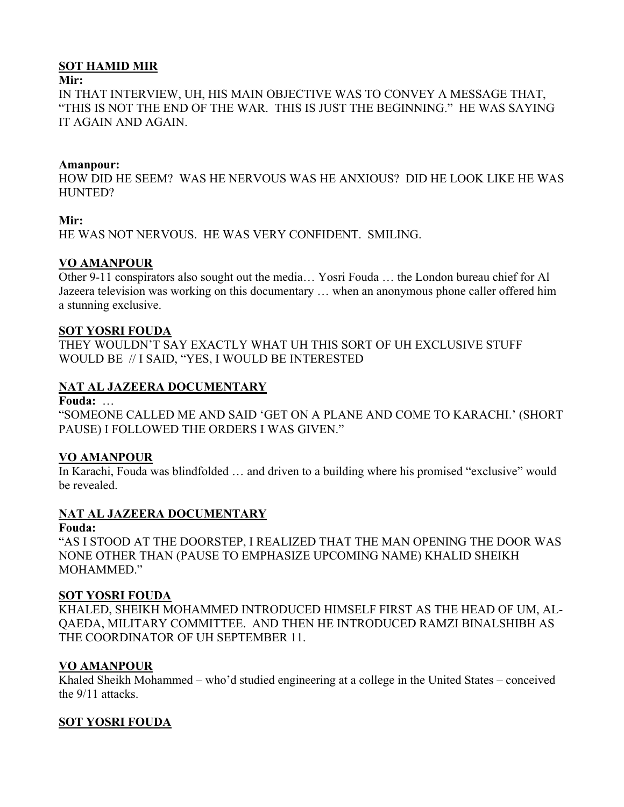## **SOT HAMID MIR**

#### **Mir:**

IN THAT INTERVIEW, UH, HIS MAIN OBJECTIVE WAS TO CONVEY A MESSAGE THAT, "THIS IS NOT THE END OF THE WAR. THIS IS JUST THE BEGINNING." HE WAS SAYING IT AGAIN AND AGAIN.

#### **Amanpour:**

HOW DID HE SEEM? WAS HE NERVOUS WAS HE ANXIOUS? DID HE LOOK LIKE HE WAS HUNTED?

## **Mir:**

HE WAS NOT NERVOUS. HE WAS VERY CONFIDENT. SMILING.

# **VO AMANPOUR**

Other 9-11 conspirators also sought out the media… Yosri Fouda … the London bureau chief for Al Jazeera television was working on this documentary … when an anonymous phone caller offered him a stunning exclusive.

## **SOT YOSRI FOUDA**

THEY WOULDN'T SAY EXACTLY WHAT UH THIS SORT OF UH EXCLUSIVE STUFF WOULD BE // I SAID, "YES, I WOULD BE INTERESTED

# **NAT AL JAZEERA DOCUMENTARY**

**Fouda:** …

"SOMEONE CALLED ME AND SAID 'GET ON A PLANE AND COME TO KARACHI.' (SHORT PAUSE) I FOLLOWED THE ORDERS I WAS GIVEN."

# **VO AMANPOUR**

In Karachi, Fouda was blindfolded … and driven to a building where his promised "exclusive" would be revealed.

# **NAT AL JAZEERA DOCUMENTARY**

#### **Fouda:**

"AS I STOOD AT THE DOORSTEP, I REALIZED THAT THE MAN OPENING THE DOOR WAS NONE OTHER THAN (PAUSE TO EMPHASIZE UPCOMING NAME) KHALID SHEIKH MOHAMMED<sup>"</sup>

# **SOT YOSRI FOUDA**

KHALED, SHEIKH MOHAMMED INTRODUCED HIMSELF FIRST AS THE HEAD OF UM, AL-QAEDA, MILITARY COMMITTEE. AND THEN HE INTRODUCED RAMZI BINALSHIBH AS THE COORDINATOR OF UH SEPTEMBER 11.

# **VO AMANPOUR**

Khaled Sheikh Mohammed – who'd studied engineering at a college in the United States – conceived the 9/11 attacks.

# **SOT YOSRI FOUDA**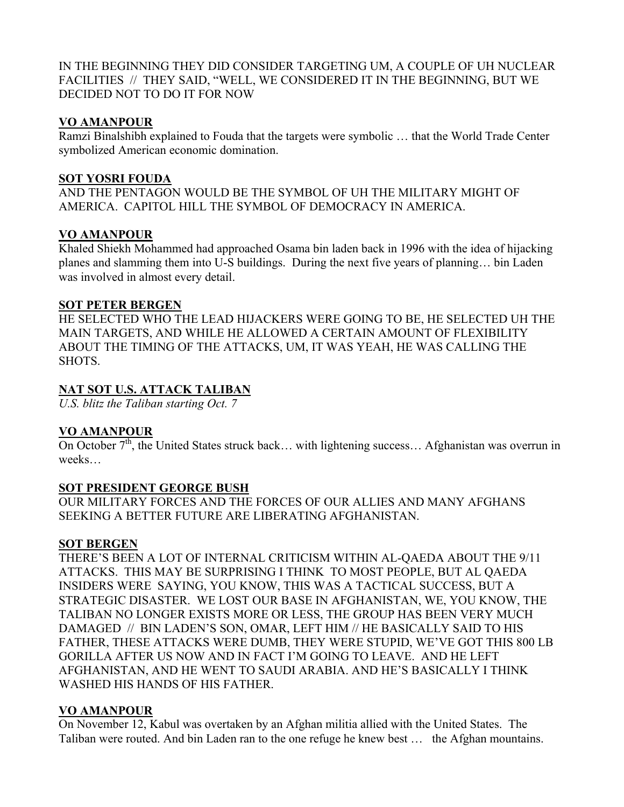IN THE BEGINNING THEY DID CONSIDER TARGETING UM, A COUPLE OF UH NUCLEAR FACILITIES // THEY SAID, "WELL, WE CONSIDERED IT IN THE BEGINNING, BUT WE DECIDED NOT TO DO IT FOR NOW

## **VO AMANPOUR**

Ramzi Binalshibh explained to Fouda that the targets were symbolic … that the World Trade Center symbolized American economic domination.

## **SOT YOSRI FOUDA**

AND THE PENTAGON WOULD BE THE SYMBOL OF UH THE MILITARY MIGHT OF AMERICA. CAPITOL HILL THE SYMBOL OF DEMOCRACY IN AMERICA.

# **VO AMANPOUR**

Khaled Shiekh Mohammed had approached Osama bin laden back in 1996 with the idea of hijacking planes and slamming them into U-S buildings. During the next five years of planning… bin Laden was involved in almost every detail.

# **SOT PETER BERGEN**

HE SELECTED WHO THE LEAD HIJACKERS WERE GOING TO BE, HE SELECTED UH THE MAIN TARGETS, AND WHILE HE ALLOWED A CERTAIN AMOUNT OF FLEXIBILITY ABOUT THE TIMING OF THE ATTACKS, UM, IT WAS YEAH, HE WAS CALLING THE **SHOTS** 

# **NAT SOT U.S. ATTACK TALIBAN**

*U.S. blitz the Taliban starting Oct. 7* 

# **VO AMANPOUR**

On October  $7<sup>th</sup>$ , the United States struck back... with lightening success... Afghanistan was overrun in weeks…

# **SOT PRESIDENT GEORGE BUSH**

OUR MILITARY FORCES AND THE FORCES OF OUR ALLIES AND MANY AFGHANS SEEKING A BETTER FUTURE ARE LIBERATING AFGHANISTAN.

#### **SOT BERGEN**

THERE'S BEEN A LOT OF INTERNAL CRITICISM WITHIN AL-QAEDA ABOUT THE 9/11 ATTACKS. THIS MAY BE SURPRISING I THINK TO MOST PEOPLE, BUT AL QAEDA INSIDERS WERE SAYING, YOU KNOW, THIS WAS A TACTICAL SUCCESS, BUT A STRATEGIC DISASTER. WE LOST OUR BASE IN AFGHANISTAN, WE, YOU KNOW, THE TALIBAN NO LONGER EXISTS MORE OR LESS, THE GROUP HAS BEEN VERY MUCH DAMAGED // BIN LADEN'S SON, OMAR, LEFT HIM // HE BASICALLY SAID TO HIS FATHER, THESE ATTACKS WERE DUMB, THEY WERE STUPID, WE'VE GOT THIS 800 LB GORILLA AFTER US NOW AND IN FACT I'M GOING TO LEAVE. AND HE LEFT AFGHANISTAN, AND HE WENT TO SAUDI ARABIA. AND HE'S BASICALLY I THINK WASHED HIS HANDS OF HIS FATHER.

# **VO AMANPOUR**

On November 12, Kabul was overtaken by an Afghan militia allied with the United States. The Taliban were routed. And bin Laden ran to the one refuge he knew best … the Afghan mountains.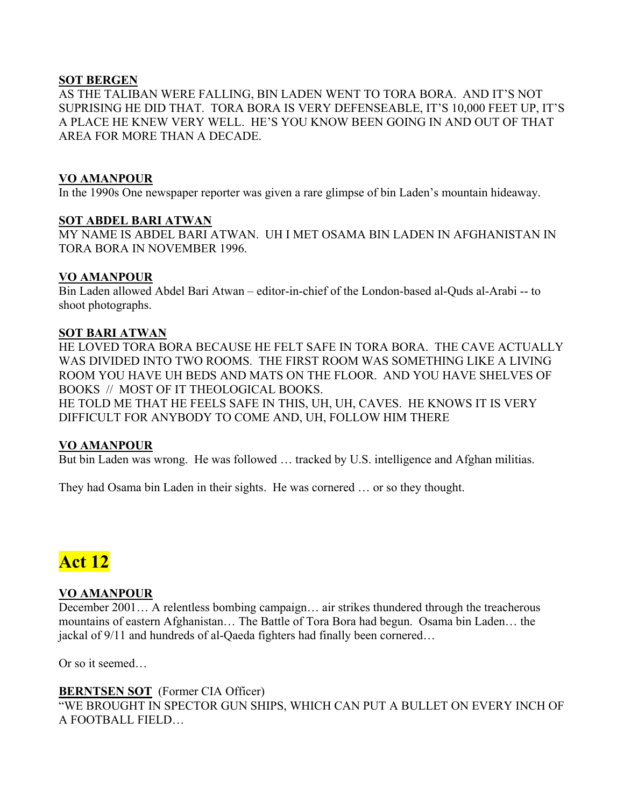# **SOT BERGEN**

AS THE TALIBAN WERE FALLING, BIN LADEN WENT TO TORA BORA. AND IT'S NOT SUPRISING HE DID THAT. TORA BORA IS VERY DEFENSEABLE, IT'S 10,000 FEET UP, IT'S A PLACE HE KNEW VERY WELL. HE'S YOU KNOW BEEN GOING IN AND OUT OF THAT AREA FOR MORE THAN A DECADE.

## **VO AMANPOUR**

In the 1990s One newspaper reporter was given a rare glimpse of bin Laden's mountain hideaway.

#### **SOT ABDEL BARI ATWAN**

MY NAME IS ABDEL BARI ATWAN. UH I MET OSAMA BIN LADEN IN AFGHANISTAN IN TORA BORA IN NOVEMBER 1996.

## **VO AMANPOUR**

Bin Laden allowed Abdel Bari Atwan – editor-in-chief of the London-based al-Quds al-Arabi -- to shoot photographs.

#### **SOT BARI ATWAN**

HE LOVED TORA BORA BECAUSE HE FELT SAFE IN TORA BORA. THE CAVE ACTUALLY WAS DIVIDED INTO TWO ROOMS. THE FIRST ROOM WAS SOMETHING LIKE A LIVING ROOM YOU HAVE UH BEDS AND MATS ON THE FLOOR. AND YOU HAVE SHELVES OF BOOKS // MOST OF IT THEOLOGICAL BOOKS.

HE TOLD ME THAT HE FEELS SAFE IN THIS, UH, UH, CAVES. HE KNOWS IT IS VERY DIFFICULT FOR ANYBODY TO COME AND, UH, FOLLOW HIM THERE

# **VO AMANPOUR**

But bin Laden was wrong. He was followed … tracked by U.S. intelligence and Afghan militias.

They had Osama bin Laden in their sights. He was cornered … or so they thought.

# **Act 12**

# **VO AMANPOUR**

December 2001… A relentless bombing campaign… air strikes thundered through the treacherous mountains of eastern Afghanistan… The Battle of Tora Bora had begun. Osama bin Laden… the jackal of 9/11 and hundreds of al-Qaeda fighters had finally been cornered…

Or so it seemed…

# **BERNTSEN SOT** (Former CIA Officer)

"WE BROUGHT IN SPECTOR GUN SHIPS, WHICH CAN PUT A BULLET ON EVERY INCH OF A FOOTBALL FIELD…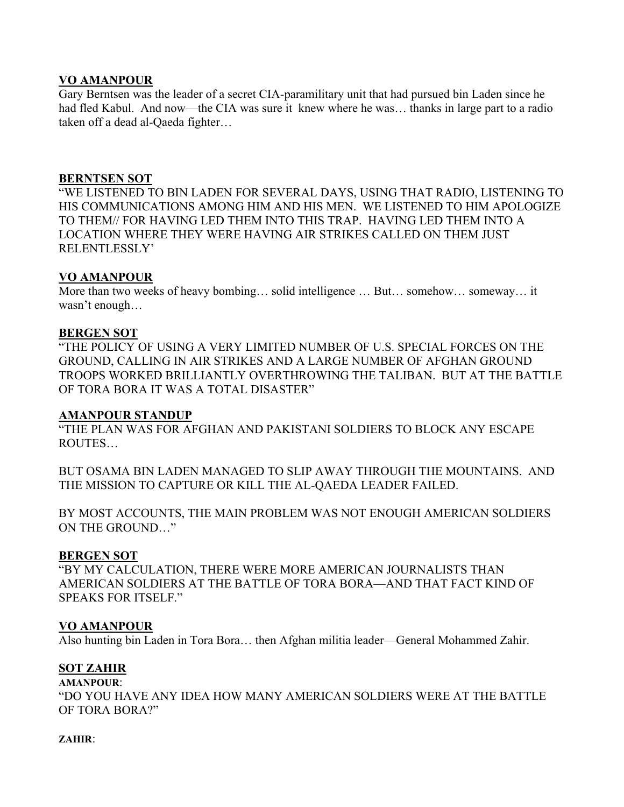## **VO AMANPOUR**

Gary Berntsen was the leader of a secret CIA-paramilitary unit that had pursued bin Laden since he had fled Kabul. And now—the CIA was sure it knew where he was... thanks in large part to a radio taken off a dead al-Qaeda fighter…

#### **BERNTSEN SOT**

"WE LISTENED TO BIN LADEN FOR SEVERAL DAYS, USING THAT RADIO, LISTENING TO HIS COMMUNICATIONS AMONG HIM AND HIS MEN. WE LISTENED TO HIM APOLOGIZE TO THEM// FOR HAVING LED THEM INTO THIS TRAP. HAVING LED THEM INTO A LOCATION WHERE THEY WERE HAVING AIR STRIKES CALLED ON THEM JUST RELENTLESSLY'

## **VO AMANPOUR**

More than two weeks of heavy bombing… solid intelligence … But… somehow… someway… it wasn't enough…

#### **BERGEN SOT**

"THE POLICY OF USING A VERY LIMITED NUMBER OF U.S. SPECIAL FORCES ON THE GROUND, CALLING IN AIR STRIKES AND A LARGE NUMBER OF AFGHAN GROUND TROOPS WORKED BRILLIANTLY OVERTHROWING THE TALIBAN. BUT AT THE BATTLE OF TORA BORA IT WAS A TOTAL DISASTER"

#### **AMANPOUR STANDUP**

"THE PLAN WAS FOR AFGHAN AND PAKISTANI SOLDIERS TO BLOCK ANY ESCAPE ROUTES…

BUT OSAMA BIN LADEN MANAGED TO SLIP AWAY THROUGH THE MOUNTAINS. AND THE MISSION TO CAPTURE OR KILL THE AL-QAEDA LEADER FAILED.

BY MOST ACCOUNTS, THE MAIN PROBLEM WAS NOT ENOUGH AMERICAN SOLDIERS ON THE GROUND…"

#### **BERGEN SOT**

"BY MY CALCULATION, THERE WERE MORE AMERICAN JOURNALISTS THAN AMERICAN SOLDIERS AT THE BATTLE OF TORA BORA—AND THAT FACT KIND OF SPEAKS FOR ITSELF."

#### **VO AMANPOUR**

Also hunting bin Laden in Tora Bora… then Afghan militia leader—General Mohammed Zahir.

#### **SOT ZAHIR**

#### **AMANPOUR**:

"DO YOU HAVE ANY IDEA HOW MANY AMERICAN SOLDIERS WERE AT THE BATTLE OF TORA BORA?"

#### **ZAHIR**: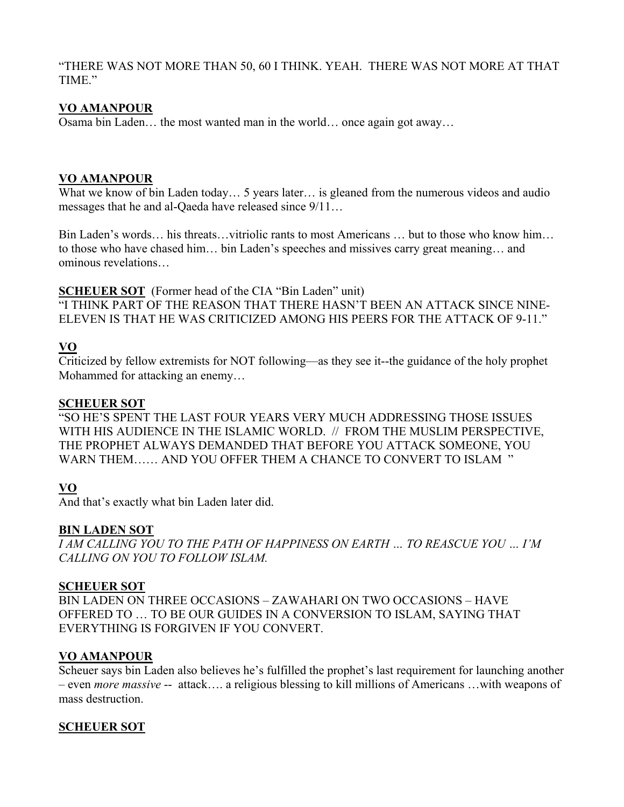"THERE WAS NOT MORE THAN 50, 60 I THINK. YEAH. THERE WAS NOT MORE AT THAT TIME."

# **VO AMANPOUR**

Osama bin Laden… the most wanted man in the world… once again got away…

## **VO AMANPOUR**

What we know of bin Laden today... 5 years later... is gleaned from the numerous videos and audio messages that he and al-Qaeda have released since 9/11…

Bin Laden's words… his threats…vitriolic rants to most Americans … but to those who know him… to those who have chased him… bin Laden's speeches and missives carry great meaning… and ominous revelations…

**SCHEUER SOT** (Former head of the CIA "Bin Laden" unit)

"I THINK PART OF THE REASON THAT THERE HASN'T BEEN AN ATTACK SINCE NINE-ELEVEN IS THAT HE WAS CRITICIZED AMONG HIS PEERS FOR THE ATTACK OF 9-11."

# **VO**

Criticized by fellow extremists for NOT following—as they see it--the guidance of the holy prophet Mohammed for attacking an enemy…

## **SCHEUER SOT**

"SO HE'S SPENT THE LAST FOUR YEARS VERY MUCH ADDRESSING THOSE ISSUES WITH HIS AUDIENCE IN THE ISLAMIC WORLD. // FROM THE MUSLIM PERSPECTIVE, THE PROPHET ALWAYS DEMANDED THAT BEFORE YOU ATTACK SOMEONE, YOU WARN THEM…… AND YOU OFFER THEM A CHANCE TO CONVERT TO ISLAM "

# **VO**

And that's exactly what bin Laden later did.

# **BIN LADEN SOT**

*I AM CALLING YOU TO THE PATH OF HAPPINESS ON EARTH … TO REASCUE YOU … I'M CALLING ON YOU TO FOLLOW ISLAM.* 

#### **SCHEUER SOT**

BIN LADEN ON THREE OCCASIONS – ZAWAHARI ON TWO OCCASIONS – HAVE OFFERED TO … TO BE OUR GUIDES IN A CONVERSION TO ISLAM, SAYING THAT EVERYTHING IS FORGIVEN IF YOU CONVERT.

# **VO AMANPOUR**

Scheuer says bin Laden also believes he's fulfilled the prophet's last requirement for launching another – even *more massive* -- attack…. a religious blessing to kill millions of Americans …with weapons of mass destruction.

# **SCHEUER SOT**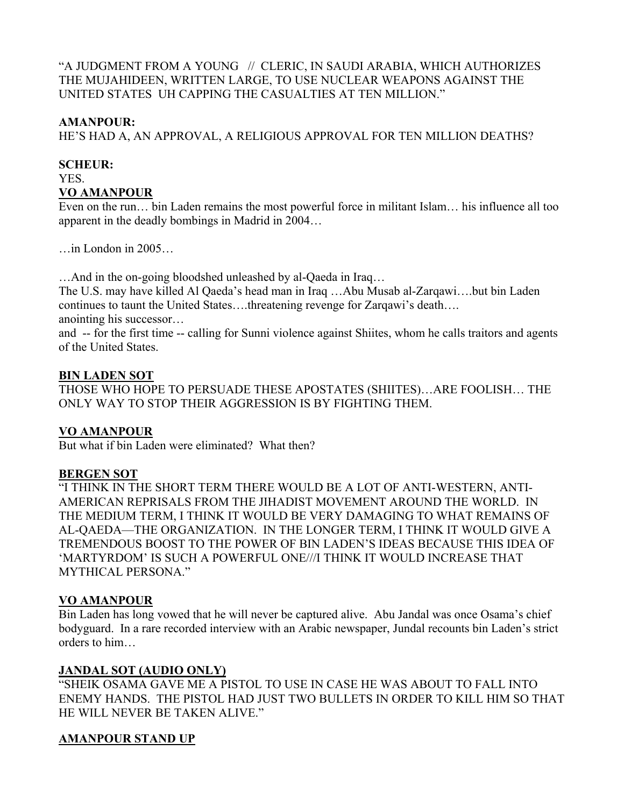"A JUDGMENT FROM A YOUNG // CLERIC, IN SAUDI ARABIA, WHICH AUTHORIZES THE MUJAHIDEEN, WRITTEN LARGE, TO USE NUCLEAR WEAPONS AGAINST THE UNITED STATES UH CAPPING THE CASUALTIES AT TEN MILLION."

## **AMANPOUR:**

HE'S HAD A, AN APPROVAL, A RELIGIOUS APPROVAL FOR TEN MILLION DEATHS?

# **SCHEUR:**

YES.

# **VO AMANPOUR**

Even on the run… bin Laden remains the most powerful force in militant Islam… his influence all too apparent in the deadly bombings in Madrid in 2004…

…in London in 2005…

…And in the on-going bloodshed unleashed by al-Qaeda in Iraq…

The U.S. may have killed Al Qaeda's head man in Iraq …Abu Musab al-Zarqawi….but bin Laden continues to taunt the United States….threatening revenge for Zarqawi's death…. anointing his successor…

and -- for the first time -- calling for Sunni violence against Shiites, whom he calls traitors and agents of the United States.

# **BIN LADEN SOT**

THOSE WHO HOPE TO PERSUADE THESE APOSTATES (SHIITES)…ARE FOOLISH… THE ONLY WAY TO STOP THEIR AGGRESSION IS BY FIGHTING THEM.

# **VO AMANPOUR**

But what if bin Laden were eliminated? What then?

# **BERGEN SOT**

"I THINK IN THE SHORT TERM THERE WOULD BE A LOT OF ANTI-WESTERN, ANTI-AMERICAN REPRISALS FROM THE JIHADIST MOVEMENT AROUND THE WORLD. IN THE MEDIUM TERM, I THINK IT WOULD BE VERY DAMAGING TO WHAT REMAINS OF AL-QAEDA—THE ORGANIZATION. IN THE LONGER TERM, I THINK IT WOULD GIVE A TREMENDOUS BOOST TO THE POWER OF BIN LADEN'S IDEAS BECAUSE THIS IDEA OF 'MARTYRDOM' IS SUCH A POWERFUL ONE///I THINK IT WOULD INCREASE THAT MYTHICAL PERSONA."

# **VO AMANPOUR**

Bin Laden has long vowed that he will never be captured alive. Abu Jandal was once Osama's chief bodyguard. In a rare recorded interview with an Arabic newspaper, Jundal recounts bin Laden's strict orders to him…

# **JANDAL SOT (AUDIO ONLY)**

"SHEIK OSAMA GAVE ME A PISTOL TO USE IN CASE HE WAS ABOUT TO FALL INTO ENEMY HANDS. THE PISTOL HAD JUST TWO BULLETS IN ORDER TO KILL HIM SO THAT HE WILL NEVER BE TAKEN ALIVE."

# **AMANPOUR STAND UP**